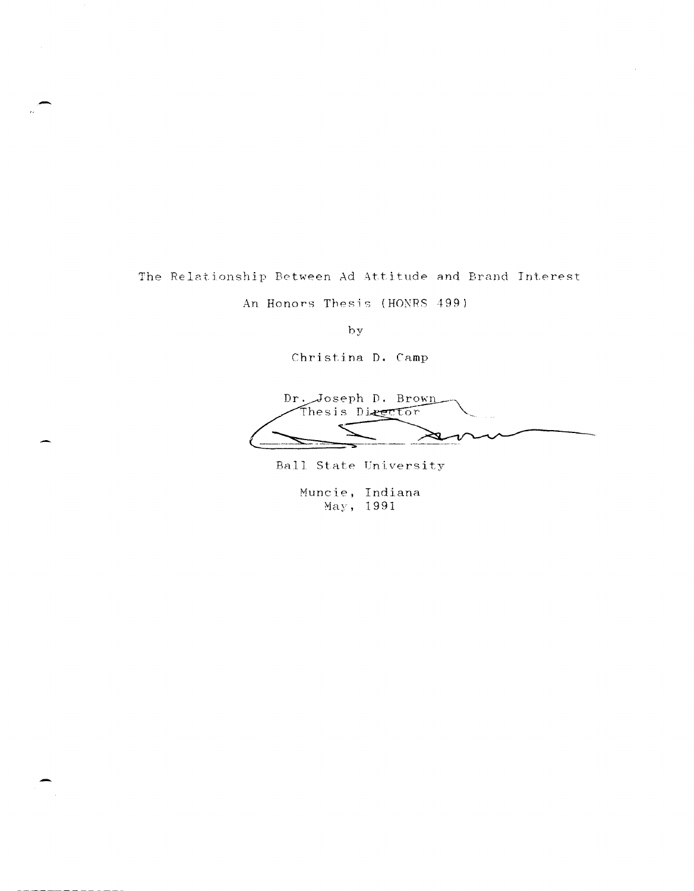The Relationship Between Ad Attitude and Brand Interest

An Honors Thesis (HONRS 499)

by

Christina D. Camp

Dr. Joseph D. Brown Thesis Director y ι

Ball State University

Muncie, Indiana May, 1991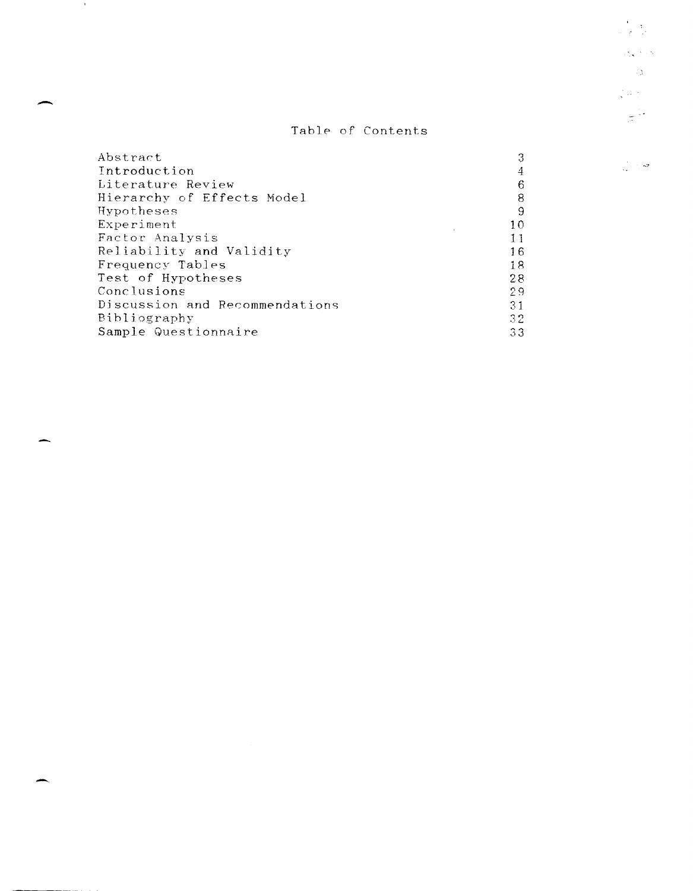# Table of Contents

 $\frac{1}{2} \sum_{i=1}^n \frac{1}{2^i} \sum_{j=1}^n \frac{1}{2^j} \sum_{j=1}^n \frac{1}{2^j} \sum_{j=1}^n \frac{1}{2^j} \sum_{j=1}^n \frac{1}{2^j} \sum_{j=1}^n \frac{1}{2^j} \sum_{j=1}^n \frac{1}{2^j} \sum_{j=1}^n \frac{1}{2^j} \sum_{j=1}^n \frac{1}{2^j} \sum_{j=1}^n \frac{1}{2^j} \sum_{j=1}^n \frac{1}{2^j} \sum_{j=1}^n \frac{1}{2$ 

 $\frac{1}{2}\sum_{i=1}^n\frac{1}{2} \left( \frac{1}{2} \right) \frac{1}{2}$  $\sim 30$  $\frac{1}{2} \log \frac{1}{2}$  .

 $\frac{1}{\sqrt{2}}$  ,  $\frac{1}{\sqrt{2}}$ 

 $\frac{1}{\sqrt{2}}\geq\frac{1}{2}$ 

| Abstract                       | 3               |
|--------------------------------|-----------------|
| Introduction                   | 4               |
| Literature Review              | 6               |
| Hierarchy of Effects Model     | 8               |
| Hypotheses                     | 9               |
| Experiment                     | 10              |
| Factor Analysis                | 11              |
| Reliability and Validity       | 16              |
| Frequency Tables               | 18              |
| Test of Hypotheses             | 28              |
| Conclusions                    | -2.9            |
| Discussion and Recommendations | 31              |
| Bibliography                   | 32 <sub>1</sub> |
| Sample Questionnaire           | 33              |

-

 $\sim 100$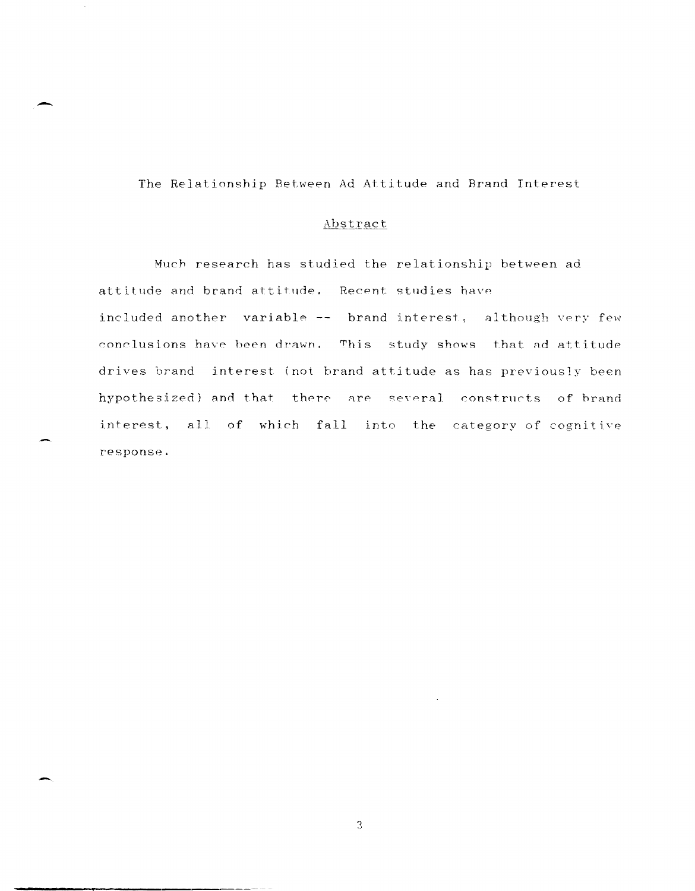The Relationship Between Ad Attitude and Brand Interest

-

# Abstract

Much research has studied *the* relationship between ad attitude and brand attitude. Recent studies have included another variable-- brand interest, although very few conclusions have been drawn. This study shows that ad attitude drives brand interest (not brand attitude as has previously been hypothesized) and that there are several constructs of brand interest. all of which fall into the category of cognitive response.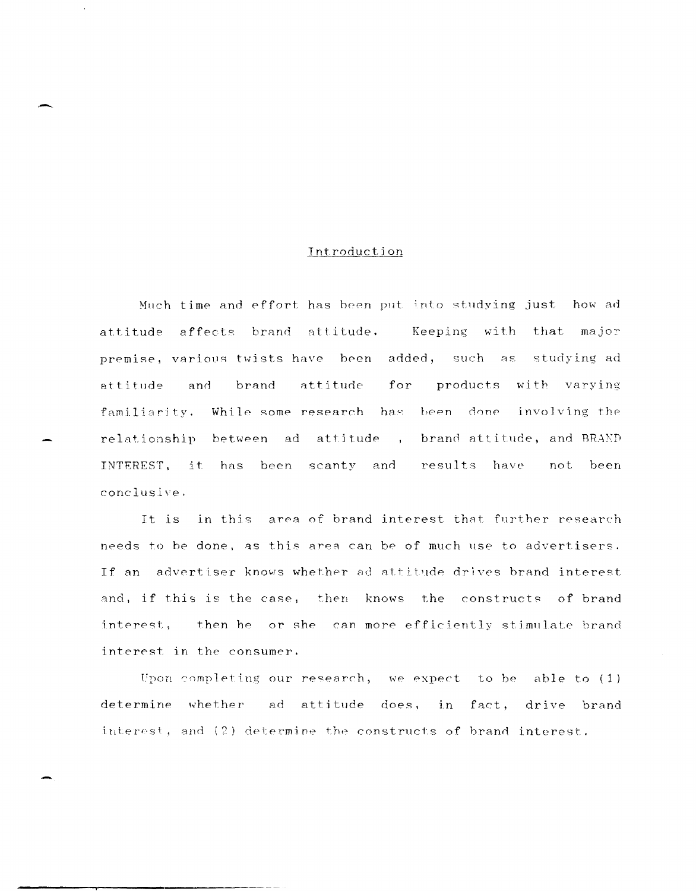# Introduction

Much time and effort has been put into studying just how ad attitude affects brand attitude. Keeping with that major premise, various twists have been added, such as studying ad and brand attitude for products with varying attitude familiarity. While some research has been done involving the relationship between ad attitude, brand attitude, and BRAND INTEREST, it has been scanty and results have not been conclusive.

It is in this area of brand interest that further research needs to be done, as this area can be of much use to advertisers. If an advertiser knows whether ad attitude drives brand interest and, if this is the case, then knows the constructs of brand interest, then he or she can more efficiently stimulate brand interest in the consumer.

Upon completing our research, we expect to be able to (1) determine whether ad attitude does, in fact, drive brand interest, and (2) determine the constructs of brand interest.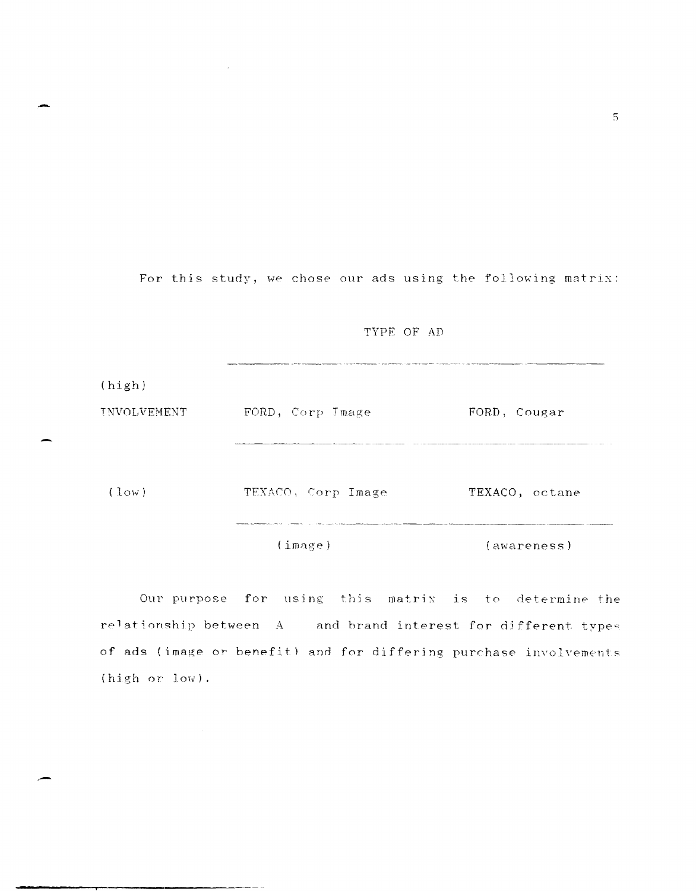For this study, we chose our ads using the following matrix:

TYPE OF AD

.<br>Alternative and comparement to alternative the Alternative of the contractor of a determinative planner and the  $(high)$ FORD, Corp Jmage FORD, Cougar INVOLVEMENT TEXACO, Corp Image TEXACO, octane  $(low)$  $(\text{image})$ (awareness)

Our purpose for using this matrix is to determine the relationship between A and brand interest for different types of ads (image or benefit) and for differing purchase involvements (high or low).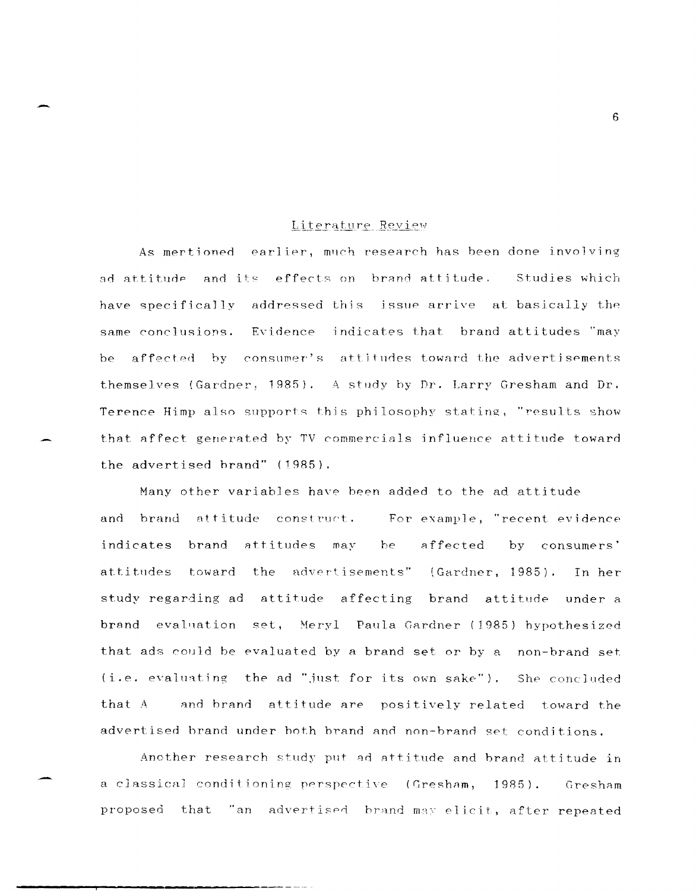# Literature Review

As mertioned earlier, much research has been done involving ad attitude and its effects on brand attitude. Studies which have specifically addressed this issue arrive at basically the same conclusions. Evidence indicates that brand attitudes "may affected by consumer's attitudes toward the advertisements  $he$ themselves (Gardner, 1985). A study by Dr. Larry Gresham and Dr. Terence Himp also supports this philosophy stating, "results show that affect generated by TV commercials influence attitude toward the advertised brand" (1985).

Many other variables have been added to the ad attitude and brand attitude construct. For example, "recent evidence indicates brand attitudes may affected be by consumers' the advertisements" (Gardner, 1985). attitudes toward In her study regarding ad attitude affecting brand attitude under a brand evaluation set, Meryl Paula Gardner (1985) hypothesized that ads could be evaluated by a brand set or by a non-brand set (i.e. evaluating the ad "just for its own sake"). She concluded that A and brand attitude are positively related toward the advertised brand under both brand and non-brand set conditions.

Another research study put ad attitude and brand attitude in a classical conditioning perspective (Gresham, 1985). Gresham "an advertised brand may elicit, after repeated proposed that

 $6^{\circ}$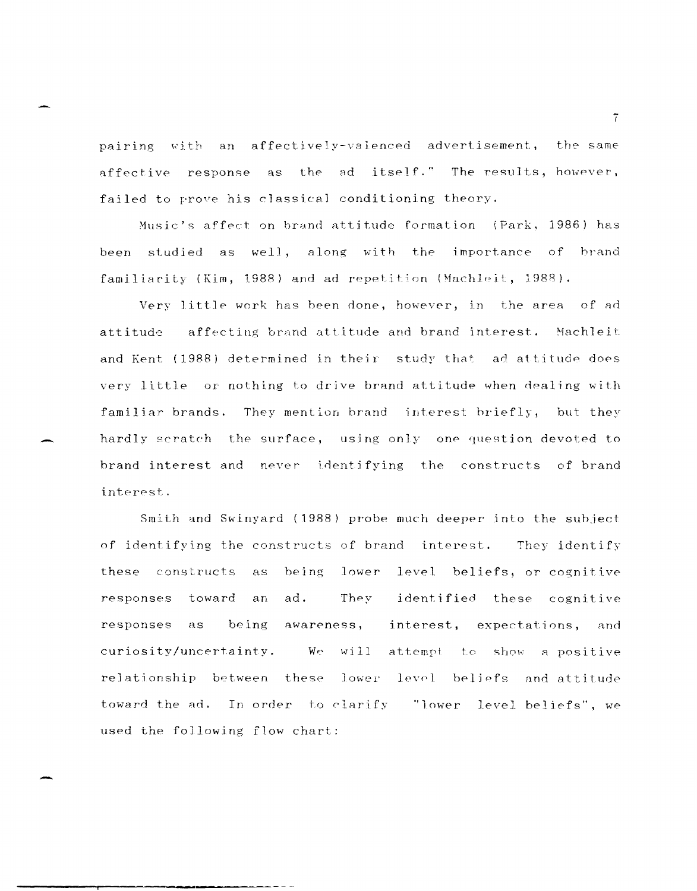pairing with an affectively-valenced advertisement, the same affective response as the ad itself." The results, however, failed to prove his classical conditioning theory.

Music's affect on brand attitude formation (Park, 1986) has been studied as well, along with the importance of brand familiarity (Kim, 1988) and ad repetition (Machleit, 1988).

Very little work has been done, however, in the area of ad affecting brand attitude and brand interest. Machleit attitude and Kent (1988) determined in their study that ad attitude does very little or nothing to drive brand attitude when dealing with familiar brands. They mention brand interest briefly, but they hardly scratch the surface, using only one question devoted to brand interest and never identifying the constructs of brand interest.

Smith and Swinyard (1988) probe much deeper into the subject of identifying the constructs of brand interest. They identify these constructs as being lower level beliefs, or cognitive identified these cognitive responses toward an ad. They responses being awareness, interest, expectations, and as curiosity/uncertainty. We will attempt to show a positive relationship between these lower level beliefs and attitude toward the ad. In order to clarify "lower level beliefs", we used the following flow chart:

 $\overline{7}$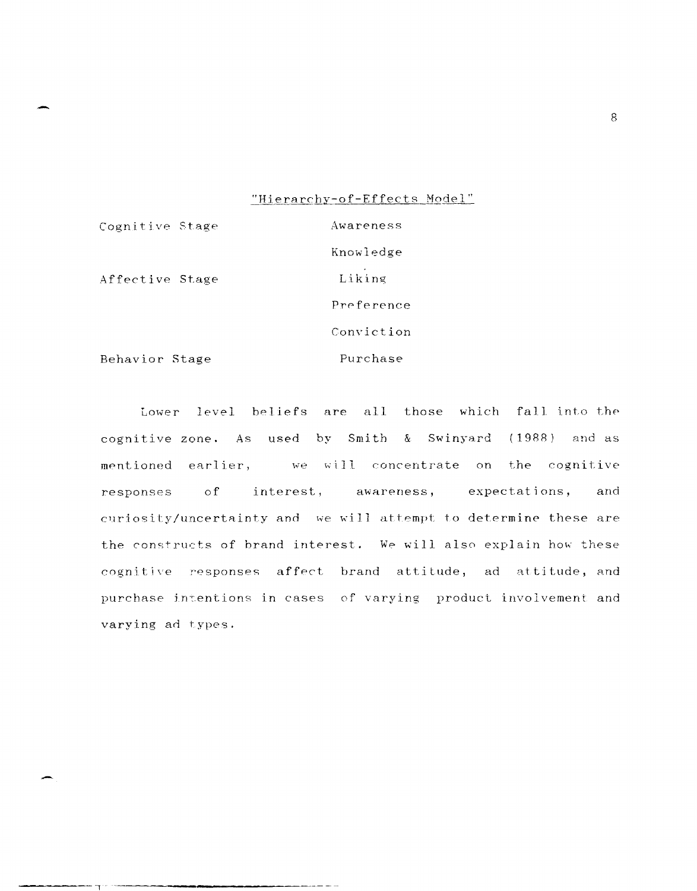# "Hierarchy-of-Effects Model"

Awareness

Cognitive Stage

Affective Stage

Knowledge Liking Preference Conviction Purchase

Behavior Stage

Lower level beliefs are all those which fall into the cognitive zone. As used by Smith & Swinyard (1988) and as mentioned earlier, we will concentrate on the cognitive responses of interest, awareness, expectations, and curiosity/uncertainty and we will attempt to determine these are the constructs of brand interest. We will also explain how these cognitive responses affect brand attitude, ad attitude, and purchase intentions in cases of varying product involvement and varying ad types.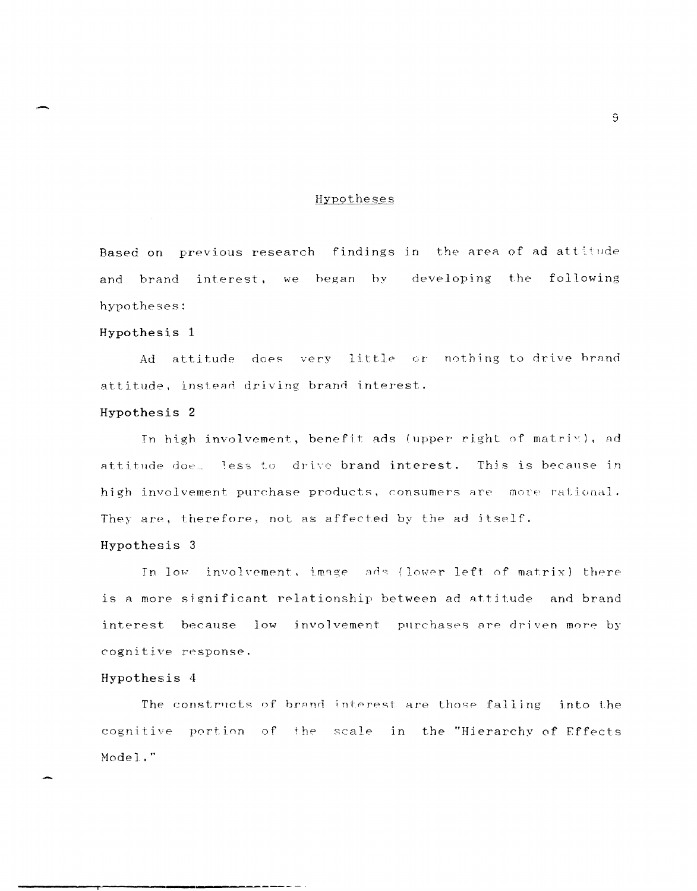# Hypotheses

Based on previous research findings in the area of ad attitude and brand interest, we began by developing the following hypotheses:

# Hypothesis 1

does very little or nothing to drive brand Ad attitude attitude, instead driving brand interest.

# Hypothesis 2

In high involvement, benefit ads (upper right of matrix), ad attitude doe. less to drive brand interest. This is because in high involvement purchase products, consumers are more rational. They are, therefore, not as affected by the ad itself.

# Hypothesis 3

In low involvement, image ads (lower left of matrix) there is a more significant relationship between ad attitude and brand interest because low involvement purchases are driven more by cognitive response.

# Hypothesis 4

The constructs of brand interest are those falling into the cognitive portion of the scale in the "Hierarchy of Effects Model."

 $\overline{9}$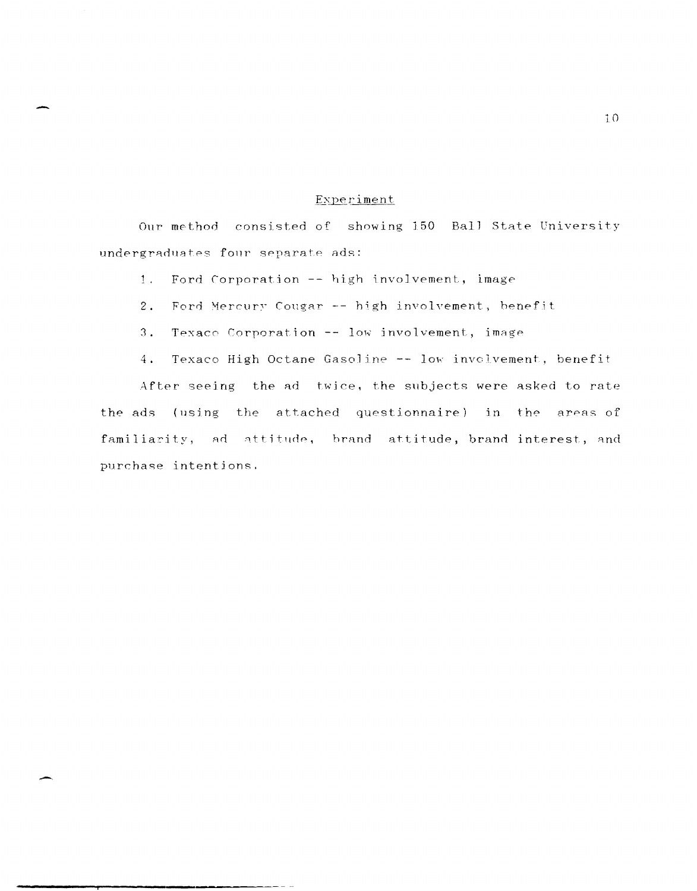# Experiment

Our method consisted of showing 150 Ball State University undergraduates four separate ads:

Ford Corporation -- high involvement, image  $1.$ 

- $2.$ Ford Mercury Cougar -- high involvement, benefit
- $3.$ Texaco Corporation -- low involvement, image

Texaco High Octane Gasoline -- low involvement, benefit  $4.$ 

After seeing the ad twice, the subjects were asked to rate the ads (using the attached questionnaire) in the areas of familiarity, ad attitude, brand attitude, brand interest, and purchase intentions.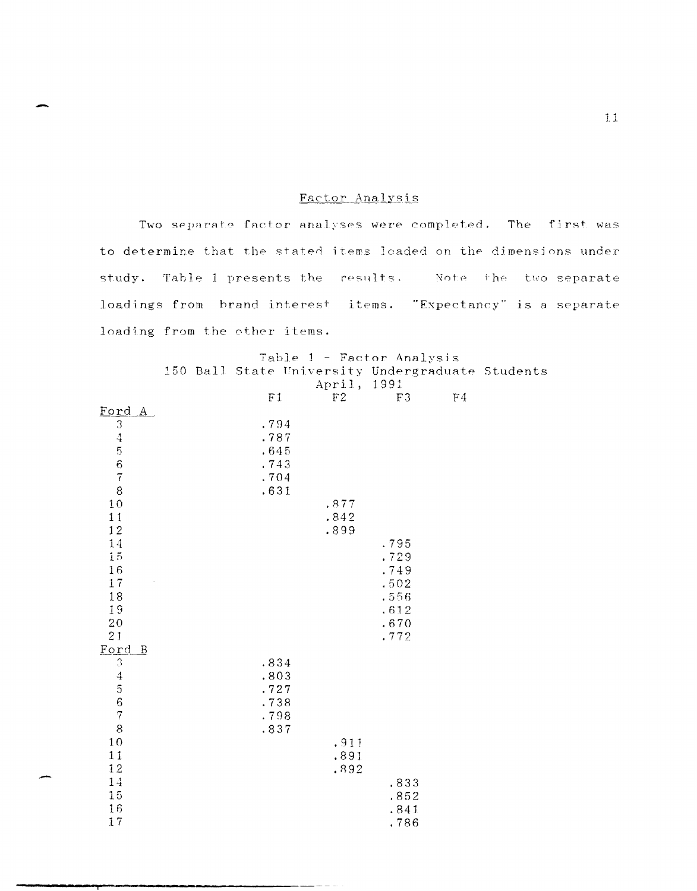# Factor Analysis

Two separate factor analyses were completed. The first was to determine that the stated items loaded on the dimensions under study. Table 1 presents the results. Wote the two separate loadings from brand interest items. "Expectancy" is a separate loading from the other items.

|                        |  |                |             | Table 1 - Factor Analysis |                |                                                  |
|------------------------|--|----------------|-------------|---------------------------|----------------|--------------------------------------------------|
|                        |  |                |             |                           |                | 150 Ball State University Undergraduate Students |
|                        |  |                | April, 1991 |                           |                |                                                  |
|                        |  | F <sub>1</sub> | F2          | F3                        | F <sub>4</sub> |                                                  |
| Ford A                 |  |                |             |                           |                |                                                  |
| 3                      |  | .794           |             |                           |                |                                                  |
|                        |  | .787           |             |                           |                |                                                  |
| 45678                  |  | .645           |             |                           |                |                                                  |
|                        |  | .743           |             |                           |                |                                                  |
|                        |  | .704           |             |                           |                |                                                  |
|                        |  | .631           |             |                           |                |                                                  |
| 10                     |  |                | .877        |                           |                |                                                  |
| 11                     |  |                | .842        |                           |                |                                                  |
| $1\,2$                 |  |                | .899        |                           |                |                                                  |
| $1\,4$                 |  |                |             | .795                      |                |                                                  |
| 15                     |  |                |             | .729                      |                |                                                  |
| 16                     |  |                |             | .749                      |                |                                                  |
| $1\,7$<br>18           |  |                |             | .502                      |                |                                                  |
| 19                     |  |                |             | .556                      |                |                                                  |
| $20\,$                 |  |                |             | .612<br>.670              |                |                                                  |
| 21                     |  |                |             | .772                      |                |                                                  |
| Ford<br>$\overline{B}$ |  |                |             |                           |                |                                                  |
| $\mathfrak 3$          |  | .834           |             |                           |                |                                                  |
|                        |  | .803           |             |                           |                |                                                  |
| 4567                   |  | .727           |             |                           |                |                                                  |
|                        |  | .738           |             |                           |                |                                                  |
|                        |  | .798           |             |                           |                |                                                  |
| 8                      |  | .837           |             |                           |                |                                                  |
| $10\,$                 |  |                | .911        |                           |                |                                                  |
| 11                     |  |                | .891        |                           |                |                                                  |
| $1\,2$                 |  |                | .892        |                           |                |                                                  |
| $1\,4$                 |  |                |             | .833                      |                |                                                  |
| $15\,$                 |  |                |             | .852                      |                |                                                  |
| 16                     |  |                |             | .841                      |                |                                                  |
| 17                     |  |                |             | .786                      |                |                                                  |

-

11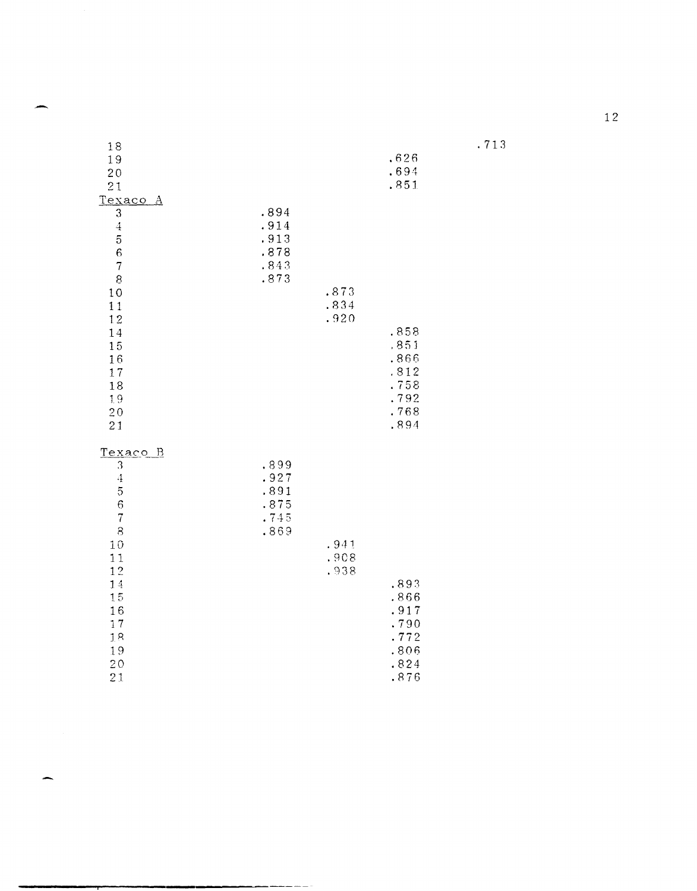| 18<br>19<br>20<br>21<br>Texaco A                                                                                                                                                      |                                              |                      | .626<br>.694<br>.851                                         |
|---------------------------------------------------------------------------------------------------------------------------------------------------------------------------------------|----------------------------------------------|----------------------|--------------------------------------------------------------|
| 3<br>$\ddot{4}$<br>5<br>$\sqrt{6}$<br>$\overline{7}$<br>8<br>10<br>11<br>12<br>14<br>15<br>16<br>17<br>18<br>1.9<br>20<br>21                                                          | .894<br>.914<br>.913<br>.878<br>.843<br>.873 | .873<br>.834<br>.920 | .858<br>.851<br>.866<br>.812<br>.758<br>.792<br>.768<br>.894 |
| <u>Texaco</u><br><u>B</u><br>3<br>$\boldsymbol{4}$<br>$\overline{5}$<br>$\boldsymbol{6}$<br>$\overline{7}$<br>8<br>10<br>11<br>12<br>$1\,4$<br>15<br>16<br>17<br>18<br>19<br>20<br>21 | .899<br>.927<br>.891<br>.875<br>.745<br>.869 | .941<br>.908<br>.938 | .893<br>.866<br>.917<br>.790<br>.772<br>.806<br>.824<br>.876 |

 $.713$ 

æ.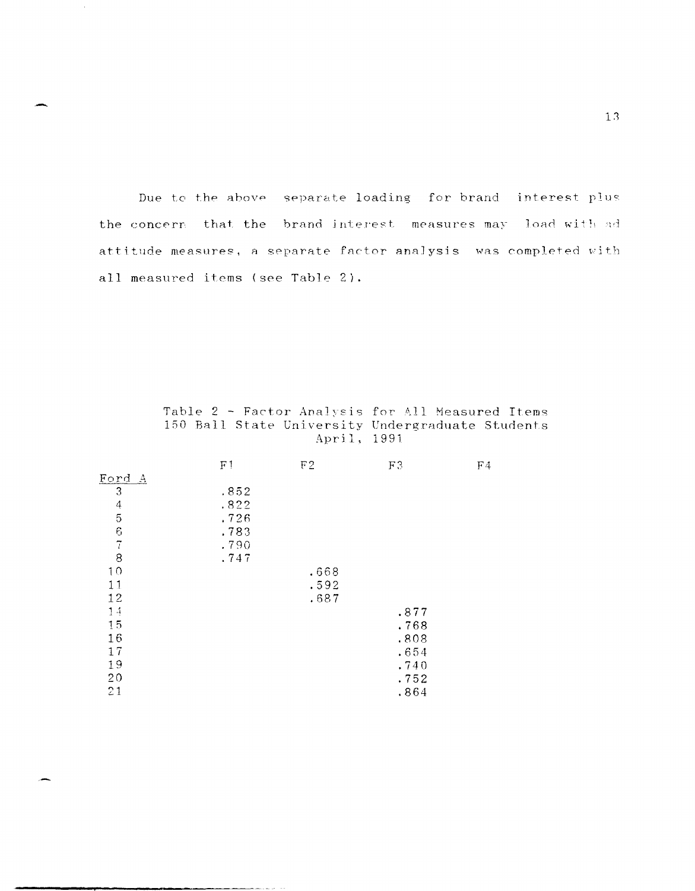Due to the above separate loading for brand interest plus the concern that the brand interest measures may load with ad attitude measures, a separate factor analysis was completed with all measured items (see Table 2).

|               | F <sub>1</sub> | F2   | F3   | F <sub>4</sub> |
|---------------|----------------|------|------|----------------|
| Ford A        |                |      |      |                |
| 3             | .852           |      |      |                |
|               | .822           |      |      |                |
| $\frac{4}{5}$ | .726           |      |      |                |
|               | .783           |      |      |                |
| $rac{7}{8}$   | .790           |      |      |                |
|               | .747           |      |      |                |
| 10            |                | .668 |      |                |
| 11            |                | .592 |      |                |
| 12            |                | .687 |      |                |
| 14            |                |      | .877 |                |
| 15            |                |      | .768 |                |
| 16            |                |      | .808 |                |
| 17            |                |      | .654 |                |
| 19            |                |      | .740 |                |
| 20            |                |      | .752 |                |
| 21            |                |      | .864 |                |

Table 2 - Factor Analysis for All Measured Items 150 Ball State University Undergraduate Students April, 1991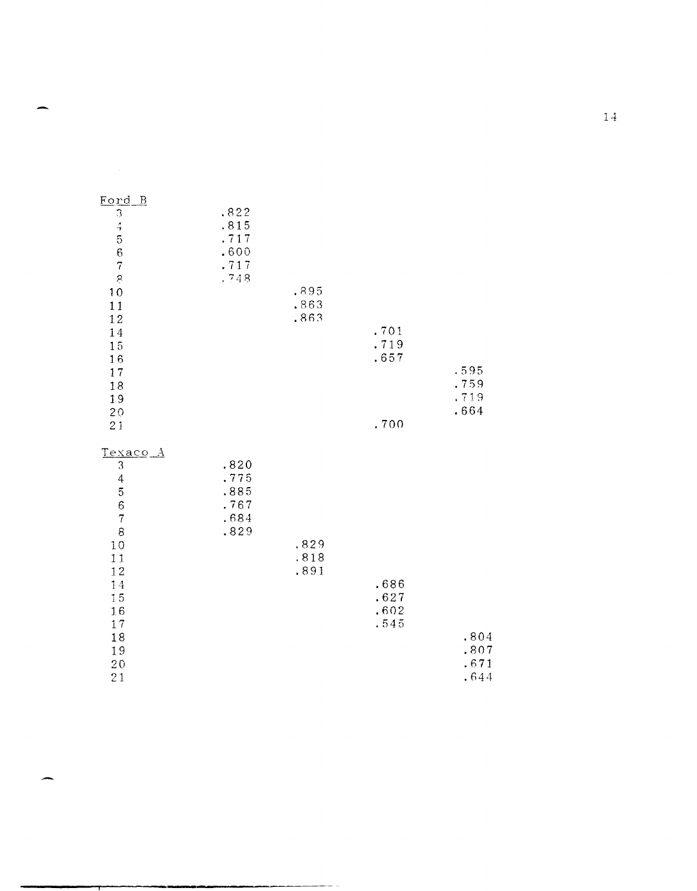| Ford B<br>34567<br>Ŗ<br>10                                                                                                               | .822<br>.815<br>.717<br>.600<br>.717<br>.748 | .895                 |                              |                              |
|------------------------------------------------------------------------------------------------------------------------------------------|----------------------------------------------|----------------------|------------------------------|------------------------------|
| $1\,1$<br>12                                                                                                                             |                                              | .863<br>.863         |                              |                              |
| 14<br>15<br>16<br>17<br>18                                                                                                               |                                              |                      | .701<br>.719<br>.657         | .595<br>.759<br>.719         |
| 19<br>$2\,0$<br>21                                                                                                                       |                                              |                      | .700                         | .664                         |
| Texaco A<br>$\mathfrak{Z}$<br>$\overline{4}$<br>$\frac{5}{7}$<br>8<br>10<br>11<br>12<br>14<br>15<br>16<br>$1\,7$<br>18<br>19<br>20<br>21 | .820<br>.775<br>.885<br>.767<br>.684<br>.829 | ,829<br>.818<br>.891 | .686<br>.627<br>.602<br>.545 | .804<br>.807<br>.671<br>.644 |

 $1\,4$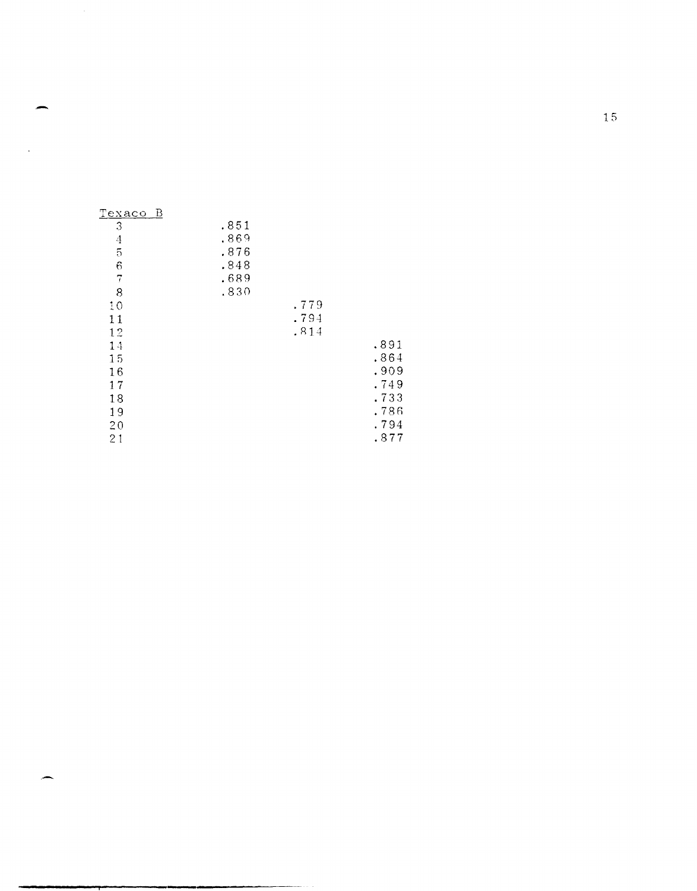| <u>Texaco B</u> |      |      |      |
|-----------------|------|------|------|
| 3               | .851 |      |      |
| $\overline{4}$  | .869 |      |      |
| $\overline{5}$  | .876 |      |      |
| 6               | .848 |      |      |
| 7               | .689 |      |      |
| 8               | .830 |      |      |
| 10              |      | .779 |      |
| 11              |      | .794 |      |
| 12              |      | .814 |      |
| 14              |      |      | .891 |
| 15              |      |      | .864 |
| 16              |      |      | .909 |
| 17              |      |      | .749 |
| 18              |      |      | .733 |
| 19              |      |      | .786 |
| 20              |      |      | .794 |
| 21              |      |      | .877 |

.-

15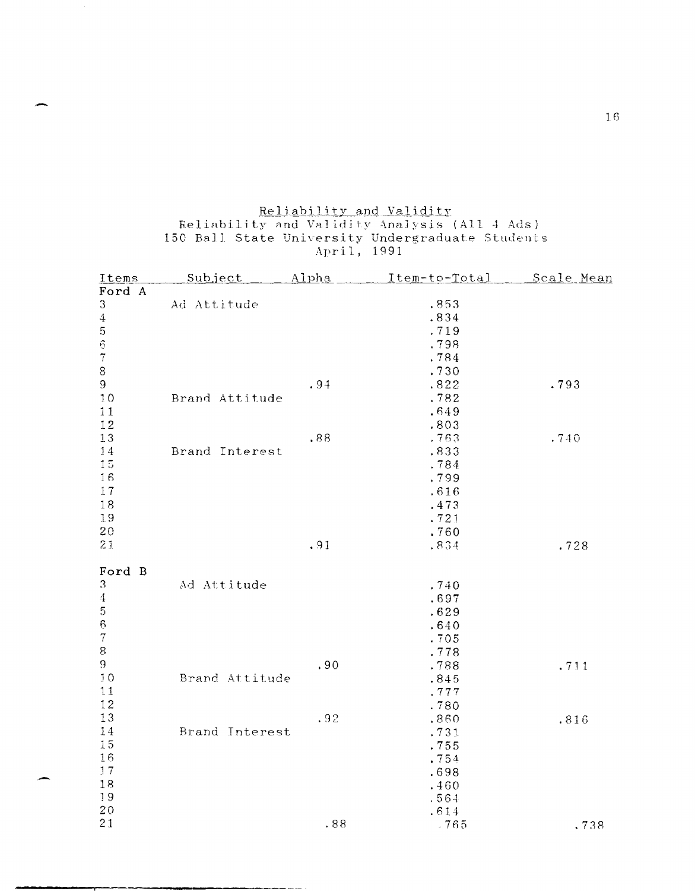# Reliability and Validity<br>Reliability and Validity Analysis (All 4 Ads)<br>150 Ball State University Undergraduate Students<br>April, 1991

| Items            | Subject        | <u>Alpha</u> | Item-to-Total        | Scale Mean |
|------------------|----------------|--------------|----------------------|------------|
| Ford A           |                |              |                      |            |
| 3                | Ad Attitude    |              | .853                 |            |
| $\ensuremath{4}$ |                |              | .834                 |            |
| $\sqrt{5}$       |                |              | .719                 |            |
| $\mathbf 6$      |                |              | .798                 |            |
| $\overline{7}$   |                |              | .784                 |            |
| 8                |                |              | .730                 |            |
| $\mathbf 9$      |                | .94          | .822                 | .793       |
| 10               | Brand Attitude |              | .782                 |            |
| 11               |                |              | .649                 |            |
| 12               |                |              | .803                 |            |
| 13               |                | .88          | .763                 | .740       |
| 14               | Brand Interest |              | .833                 |            |
| 15               |                |              | .784                 |            |
| 16               |                |              | .799                 |            |
| 17               |                |              |                      |            |
|                  |                |              | .616                 |            |
| 18               |                |              | .473                 |            |
| 19               |                |              | .721                 |            |
| 20               |                |              | .760                 |            |
| 21               |                | .91          | .834                 | .728       |
|                  |                |              |                      |            |
| Ford B           |                |              |                      |            |
| 3                | Ad Attitude    |              | .740                 |            |
| $\boldsymbol{4}$ |                |              | .697                 |            |
| $\mathbf 5$      |                |              | .629                 |            |
| $\boldsymbol{6}$ |                |              | .640                 |            |
| $\overline{7}$   |                |              | .705                 |            |
| 8                |                |              | .778                 |            |
| $\mathbf 9$      |                | .90          | .788                 | .711       |
| 10               | Brand Attitude |              | .845                 |            |
| 11               |                |              | .777                 |            |
| 12               |                |              | .780                 |            |
| 13               |                | .92          | .860                 | .816       |
| 14               | Brand Interest |              | .731                 |            |
| 15               |                |              | .755                 |            |
| 16               |                |              | .754                 |            |
| 17               |                |              | .698                 |            |
|                  |                |              |                      |            |
|                  |                |              |                      |            |
|                  |                |              |                      |            |
| 21               |                | .88          | .765                 | .738       |
| 18<br>19<br>20   |                |              | .460<br>.564<br>.614 |            |
|                  |                |              |                      |            |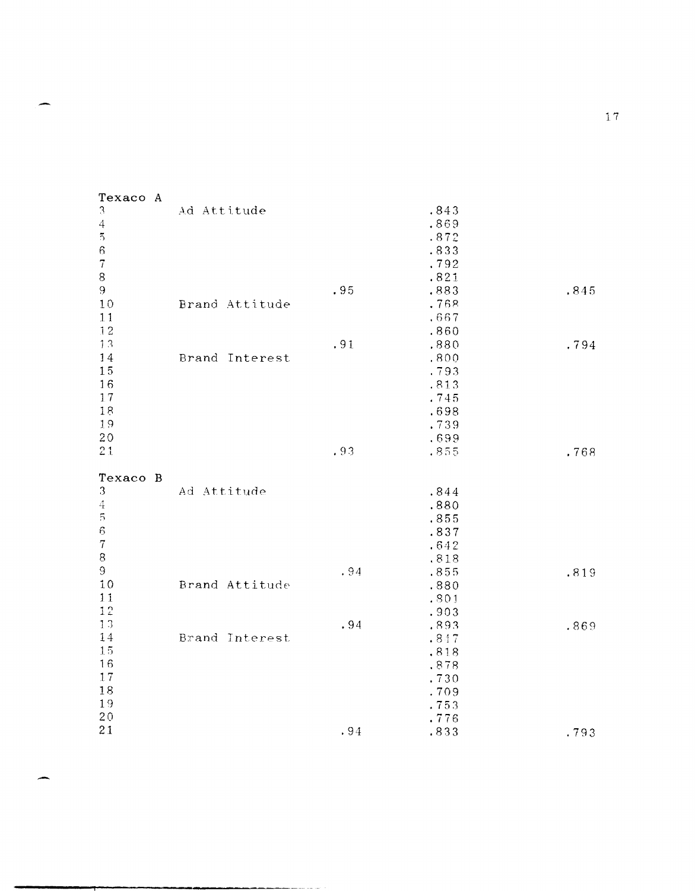| 3<br>Ad Attitude<br>.843<br>.869<br>$\overline{4}$<br>$\overline{5}$<br>.872<br>$\mathbf 6$<br>.833<br>$\overline{\tau}$<br>.792<br>.821<br>$8\,$<br>9<br>.95<br>.883<br>.845<br>10<br>Brand Attitude<br>.768<br>11<br>.667<br>12<br>.860<br>13<br>.91<br>.880<br>.794<br>14<br>Brand Interest<br>.800<br>15<br>.793<br>16<br>.813<br>17<br>.745<br>18<br>.698<br>19<br>.739<br>20<br>.699<br>21<br>.93<br>.855<br>.768<br>Texaco B<br>3<br>Ad Attitude<br>.844<br>$\boldsymbol{4}$<br>.880<br>5<br>.855<br>$\epsilon$<br>.837<br>$\overline{7}$<br>.642<br>$\bf 8$<br>.818<br>$\mathbf 9$<br>.94<br>.855<br>.819<br>10<br>Brand Attitude<br>.880<br>11<br>.801<br>12<br>.903<br>13<br>.94<br>.893<br>.869<br>14<br>Brand Interest<br>.847<br>1.5<br>.818<br>16<br>.878<br>17<br>.730<br>18<br>.709<br>19<br>.753<br>$2\,0$<br>.776<br>21<br>.94<br>.833<br>.793 | Texaco A |  |  |
|------------------------------------------------------------------------------------------------------------------------------------------------------------------------------------------------------------------------------------------------------------------------------------------------------------------------------------------------------------------------------------------------------------------------------------------------------------------------------------------------------------------------------------------------------------------------------------------------------------------------------------------------------------------------------------------------------------------------------------------------------------------------------------------------------------------------------------------------------------------|----------|--|--|
|                                                                                                                                                                                                                                                                                                                                                                                                                                                                                                                                                                                                                                                                                                                                                                                                                                                                  |          |  |  |
|                                                                                                                                                                                                                                                                                                                                                                                                                                                                                                                                                                                                                                                                                                                                                                                                                                                                  |          |  |  |
|                                                                                                                                                                                                                                                                                                                                                                                                                                                                                                                                                                                                                                                                                                                                                                                                                                                                  |          |  |  |
|                                                                                                                                                                                                                                                                                                                                                                                                                                                                                                                                                                                                                                                                                                                                                                                                                                                                  |          |  |  |
|                                                                                                                                                                                                                                                                                                                                                                                                                                                                                                                                                                                                                                                                                                                                                                                                                                                                  |          |  |  |
|                                                                                                                                                                                                                                                                                                                                                                                                                                                                                                                                                                                                                                                                                                                                                                                                                                                                  |          |  |  |
|                                                                                                                                                                                                                                                                                                                                                                                                                                                                                                                                                                                                                                                                                                                                                                                                                                                                  |          |  |  |
|                                                                                                                                                                                                                                                                                                                                                                                                                                                                                                                                                                                                                                                                                                                                                                                                                                                                  |          |  |  |
|                                                                                                                                                                                                                                                                                                                                                                                                                                                                                                                                                                                                                                                                                                                                                                                                                                                                  |          |  |  |
|                                                                                                                                                                                                                                                                                                                                                                                                                                                                                                                                                                                                                                                                                                                                                                                                                                                                  |          |  |  |
|                                                                                                                                                                                                                                                                                                                                                                                                                                                                                                                                                                                                                                                                                                                                                                                                                                                                  |          |  |  |
|                                                                                                                                                                                                                                                                                                                                                                                                                                                                                                                                                                                                                                                                                                                                                                                                                                                                  |          |  |  |
|                                                                                                                                                                                                                                                                                                                                                                                                                                                                                                                                                                                                                                                                                                                                                                                                                                                                  |          |  |  |
|                                                                                                                                                                                                                                                                                                                                                                                                                                                                                                                                                                                                                                                                                                                                                                                                                                                                  |          |  |  |
|                                                                                                                                                                                                                                                                                                                                                                                                                                                                                                                                                                                                                                                                                                                                                                                                                                                                  |          |  |  |
|                                                                                                                                                                                                                                                                                                                                                                                                                                                                                                                                                                                                                                                                                                                                                                                                                                                                  |          |  |  |
|                                                                                                                                                                                                                                                                                                                                                                                                                                                                                                                                                                                                                                                                                                                                                                                                                                                                  |          |  |  |
|                                                                                                                                                                                                                                                                                                                                                                                                                                                                                                                                                                                                                                                                                                                                                                                                                                                                  |          |  |  |
|                                                                                                                                                                                                                                                                                                                                                                                                                                                                                                                                                                                                                                                                                                                                                                                                                                                                  |          |  |  |
|                                                                                                                                                                                                                                                                                                                                                                                                                                                                                                                                                                                                                                                                                                                                                                                                                                                                  |          |  |  |
|                                                                                                                                                                                                                                                                                                                                                                                                                                                                                                                                                                                                                                                                                                                                                                                                                                                                  |          |  |  |
|                                                                                                                                                                                                                                                                                                                                                                                                                                                                                                                                                                                                                                                                                                                                                                                                                                                                  |          |  |  |
|                                                                                                                                                                                                                                                                                                                                                                                                                                                                                                                                                                                                                                                                                                                                                                                                                                                                  |          |  |  |
|                                                                                                                                                                                                                                                                                                                                                                                                                                                                                                                                                                                                                                                                                                                                                                                                                                                                  |          |  |  |
|                                                                                                                                                                                                                                                                                                                                                                                                                                                                                                                                                                                                                                                                                                                                                                                                                                                                  |          |  |  |
|                                                                                                                                                                                                                                                                                                                                                                                                                                                                                                                                                                                                                                                                                                                                                                                                                                                                  |          |  |  |
|                                                                                                                                                                                                                                                                                                                                                                                                                                                                                                                                                                                                                                                                                                                                                                                                                                                                  |          |  |  |
|                                                                                                                                                                                                                                                                                                                                                                                                                                                                                                                                                                                                                                                                                                                                                                                                                                                                  |          |  |  |
|                                                                                                                                                                                                                                                                                                                                                                                                                                                                                                                                                                                                                                                                                                                                                                                                                                                                  |          |  |  |
|                                                                                                                                                                                                                                                                                                                                                                                                                                                                                                                                                                                                                                                                                                                                                                                                                                                                  |          |  |  |
|                                                                                                                                                                                                                                                                                                                                                                                                                                                                                                                                                                                                                                                                                                                                                                                                                                                                  |          |  |  |
|                                                                                                                                                                                                                                                                                                                                                                                                                                                                                                                                                                                                                                                                                                                                                                                                                                                                  |          |  |  |
|                                                                                                                                                                                                                                                                                                                                                                                                                                                                                                                                                                                                                                                                                                                                                                                                                                                                  |          |  |  |
|                                                                                                                                                                                                                                                                                                                                                                                                                                                                                                                                                                                                                                                                                                                                                                                                                                                                  |          |  |  |
|                                                                                                                                                                                                                                                                                                                                                                                                                                                                                                                                                                                                                                                                                                                                                                                                                                                                  |          |  |  |
|                                                                                                                                                                                                                                                                                                                                                                                                                                                                                                                                                                                                                                                                                                                                                                                                                                                                  |          |  |  |
|                                                                                                                                                                                                                                                                                                                                                                                                                                                                                                                                                                                                                                                                                                                                                                                                                                                                  |          |  |  |
|                                                                                                                                                                                                                                                                                                                                                                                                                                                                                                                                                                                                                                                                                                                                                                                                                                                                  |          |  |  |
|                                                                                                                                                                                                                                                                                                                                                                                                                                                                                                                                                                                                                                                                                                                                                                                                                                                                  |          |  |  |

 $1.7\,$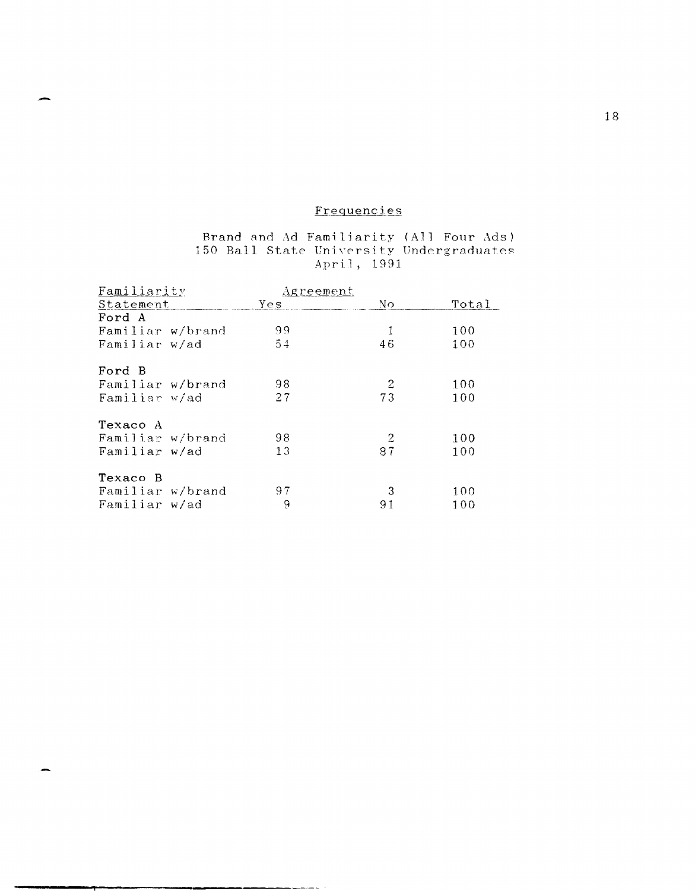# Frequencies

# Brand and Ad Familiarity (All Four Ads)<br>150 Ball State University Undergraduates April, 1991

| Familiarity      | <u>Agreement</u> |     |       |
|------------------|------------------|-----|-------|
| Statement        | Yes              | No. | Total |
| Ford A           |                  |     |       |
| Familiar w/brand | 99.              |     | 100   |
| Familiar w/ad    | 54               | 46  | 100   |
| Ford B           |                  |     |       |
| Familiar w/brand | 98               | 2   | 100   |
| Familiar w/ad    | 27               | 73  | 100   |
| Texaco A         |                  |     |       |
| Familiar w/brand | 98               | 2   | 100   |
| Familiar w/ad    | 13               | 87  | 100   |
| Texaco B         |                  |     |       |
| Familiar w/brand | 97               | 3   | 100   |
| Familiar w/ad    | 9                | 91  | 100   |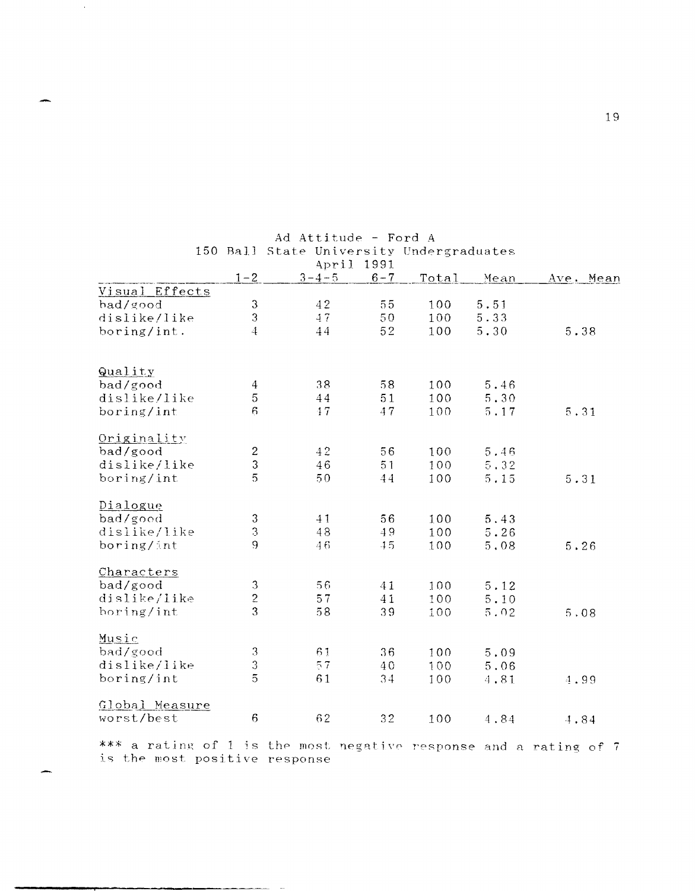|                |                      | April       | 1991    |       |      |           |
|----------------|----------------------|-------------|---------|-------|------|-----------|
|                | $1 - 2$              | $3 - 4 - 5$ | $6 - 7$ | Total | Mean | Ave. Mean |
| Visual Effects |                      |             |         |       |      |           |
| bad/good       | $\mathfrak{Z}$       | 42          | 55      | 100   | 5.51 |           |
| dislike/like   | 3                    | 47          | 50      | 100   | 5.33 |           |
| boring/int.    | 4                    | 44          | 52      | 100   | 5.30 | 5.38      |
| Quality        |                      |             |         |       |      |           |
| bad/good       | $\overline{4}$       | 38          | 58      | 100   | 5.46 |           |
| dislike/like   | 5                    | 44          | 51      | 100   | 5.30 |           |
| boring/int     | 6                    | 17          | 47      | 100   | 5.17 | 5.31      |
| Originality    |                      |             |         |       |      |           |
| bad/good       | $\boldsymbol{2}$     | 42          | $5\,6$  | 100   | 5.46 |           |
| dislike/like   | 3                    | 46          | 51      | 100   | 5,32 |           |
| boring/int     | 5                    | 50          | 44      | 100   | 5.15 | 5.31      |
| Dialogue       |                      |             |         |       |      |           |
| bad/good       | 3                    | 41          | 56      | 100   | 5.43 |           |
| dislike/like   | 3                    | 48          | 49      | 100   | 5.26 |           |
| boring/int     | 9                    | 46          | 45      | 100   | 5,08 | 5.26      |
| Characters     |                      |             |         |       |      |           |
| bad/good       | 3                    | 56          | 41      | 100   | 5.12 |           |
| dislike/like   | $\overline{c}$       | 57          | 41      | 100   | 5.10 |           |
| boring/int     | 3                    | 58          | 39      | 100   | 5.02 | 5.08      |
| Music          |                      |             |         |       |      |           |
| bad/good       | $\boldsymbol{\beta}$ | 61          | 36      | 100   | 5.09 |           |
| dislike/like   | 3                    | 57          | 40      | 100   | 5.06 |           |
| boring/int     | $\overline{5}$       | 61          | 34      | 100   | 4,81 | 4.99      |
| Global Measure |                      |             |         |       |      |           |
| worst/best     | 6                    | 62          | 32      | 100   | 4,84 | 4.84      |

Ad Attitude - Ford A 150 Ball State University Undergraduates

 $\alpha$ 

\*\*\* a rating of 1 is the most negative response and a rating of 7 is the most positive response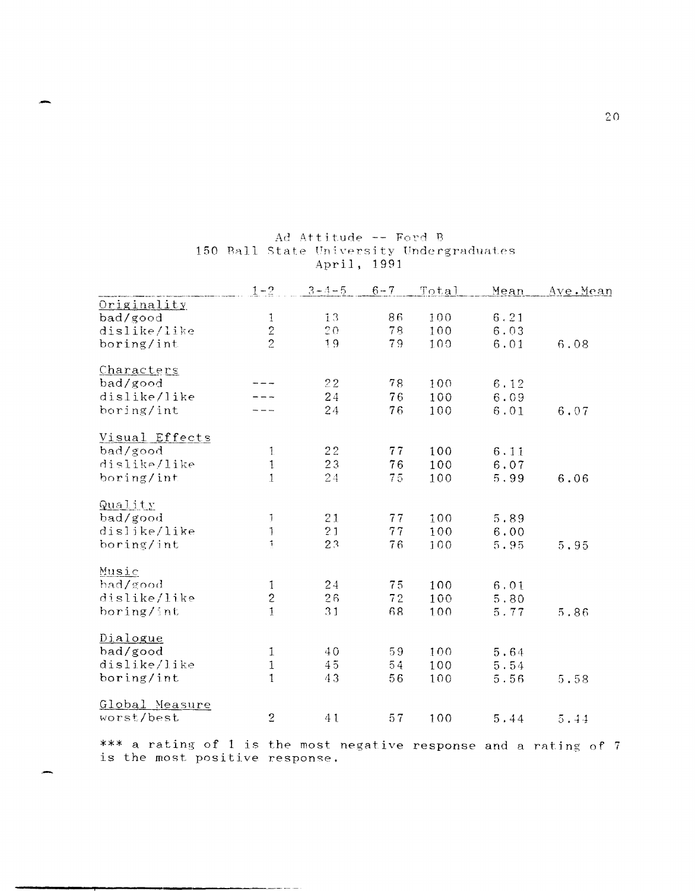|                | $1 - 2$              | $3 - 4 - 5$ | $6 - 7$ | Total | Mean | Ave.Mean |
|----------------|----------------------|-------------|---------|-------|------|----------|
| Originality    |                      |             |         |       |      |          |
| bad/good       | 1                    | 13          | 86      | 100   | 6.21 |          |
| dislike/like   | $\frac{2}{2}$        | 20          | 78      | 100   | 6.03 |          |
| boring/int     |                      | 19          | 79      | 100   | 6.01 | 6.08     |
|                |                      |             |         |       |      |          |
| Characters     |                      | 22          | 78      |       |      |          |
| bad/good       |                      |             |         | 100   | 6.12 |          |
| dislike/like   |                      | 24          | 76      | 100   | 6.09 |          |
| boring/int     |                      | 24          | 76      | 100   | 6.01 | 6.07     |
| Visual Effects |                      |             |         |       |      |          |
| bad/good       | $\mathbf{1}$         | 22          | 77      | 100   | 6.11 |          |
| dislike/like   | $\mathbf{1}$         | 23          | 76      | 100   | 6.07 |          |
| boring/int     | $\mathbf{1}$         | 24          | 75      | 100   | 5.99 | 6.06     |
|                |                      |             |         |       |      |          |
| Quality        |                      |             |         |       |      |          |
| bad/good       | J                    | 21          | 77      | 100   | 5.89 |          |
| dislike/like   | $\mathbf{1}$         | 21          | 77      | 100   | 6.00 |          |
| boring/int     | $\ddot{\phantom{1}}$ | 23          | 76      | 100   | 5.95 | 5.95     |
| Music          |                      |             |         |       |      |          |
| bad/good       | 1                    | 24          | 75      | 100   | 6.01 |          |
| dislike/like   | $\overline{c}$       | 26          | 72      | 100   | 5.80 |          |
| boring/int     | $\mathbf{1}$         | 31          | 68      | 100   | 5.77 | 5.86     |
|                |                      |             |         |       |      |          |
| Dialogue       |                      |             |         |       |      |          |
| bad/good       | $\mathbf{1}$         | 40          | 59      | 100   | 5.64 |          |
| dislike/like   | $\mathbf{1}$         | 45          | 54      | 100   | 5.54 |          |
| boring/int     | $\mathbf{1}$         | 43          | 56      | 100   | 5.56 | 5.58     |
| Global Measure |                      |             |         |       |      |          |
| worst/best     | $\overline{2}$       | 41          | 57      | 100   | 5.44 | 5.44     |
|                |                      |             |         |       |      |          |

# Ad Attitude -- Ford B 150 Ball State University Undergraduates April, 1991

\*\*\* a rating of  $1$  is the most negative response and a rating of 7 is the most positive response.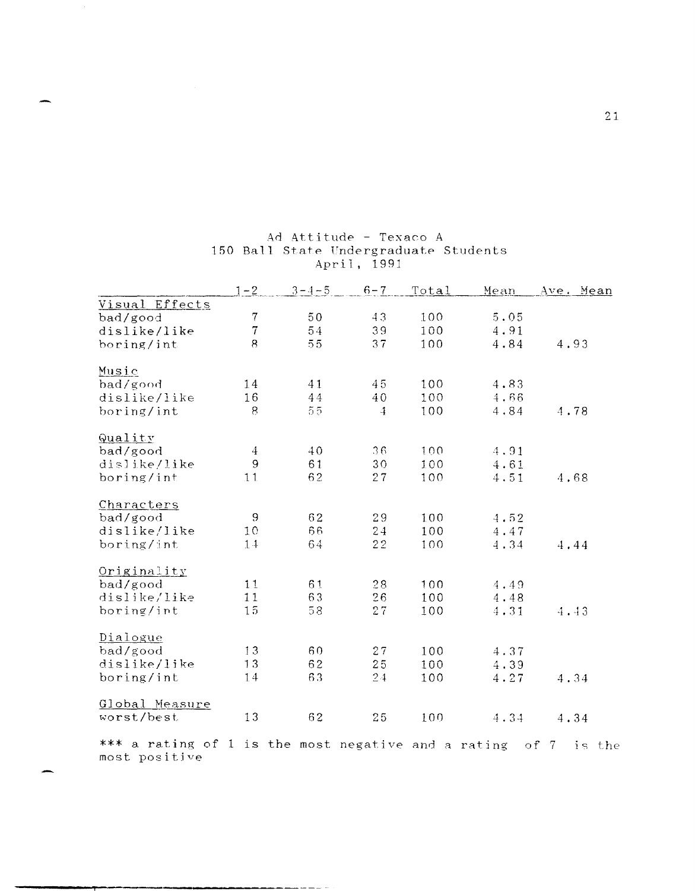|                                                                    | Ave. Mean |
|--------------------------------------------------------------------|-----------|
| Visual Effects                                                     |           |
| $\boldsymbol{7}$<br>43<br>100<br>50<br>5.05<br>bad/good            |           |
| $\overline{7}$<br>54<br>39<br>100<br>4.91<br>dislike/like          |           |
| 55<br>8<br>37<br>100<br>4.84<br>4.93<br>boring/int                 |           |
|                                                                    |           |
| Music                                                              |           |
| bad/good<br>14<br>45<br>100<br>41<br>4.83                          |           |
| 16<br>44<br>100<br>4.66<br>dislike/like<br>40                      |           |
| $5\,5$<br>8<br>100<br>4.84<br>4.78<br>boring/int<br>$\overline{4}$ |           |
|                                                                    |           |
| Quality                                                            |           |
| 40<br>36<br>100<br>bad/good<br>$\overline{4}$<br>4.91              |           |
| 9<br>61<br>dislike/like<br>30<br>100<br>4.61                       |           |
| 62<br>11<br>27<br>100<br>4.51<br>4.68<br>boring/int                |           |
|                                                                    |           |
| Characters                                                         |           |
| 9<br>62<br>29<br>100<br>bad/good<br>4.52                           |           |
| 66<br>10<br>24<br>dislike/like<br>100<br>4.47                      |           |
| 64<br>22<br>boring/int<br>1.4<br>100<br>4.34<br>4.44               |           |
|                                                                    |           |
| Originality                                                        |           |
| 11<br>61<br>28<br>bad/good<br>100<br>4.49                          |           |
| 11<br>63<br>dislike/like<br>26<br>100<br>4.48                      |           |
| 15<br>58<br>27<br>boring/int<br>100<br>4.31<br>4.43                |           |
|                                                                    |           |
| Dialogue                                                           |           |
| 13<br>60<br>bad/good<br>27<br>100<br>4.37                          |           |
| 13<br>62<br>25<br>dislike/like<br>100<br>4.39                      |           |
| 63<br>14<br>24<br>boring/int<br>100<br>4.27<br>4.34                |           |
|                                                                    |           |
| Global Measure                                                     |           |
| 13<br>62<br>worst/best<br>25<br>100<br>4.34<br>4.34                |           |
|                                                                    |           |
| *** a rating of 1 is the most negative and a rating<br>of $7$      | is the    |
| most positive                                                      |           |

**,.** 

# Ad Attitude - Texaco A 150 Ball State Undergraduate Students April, 1991

**21**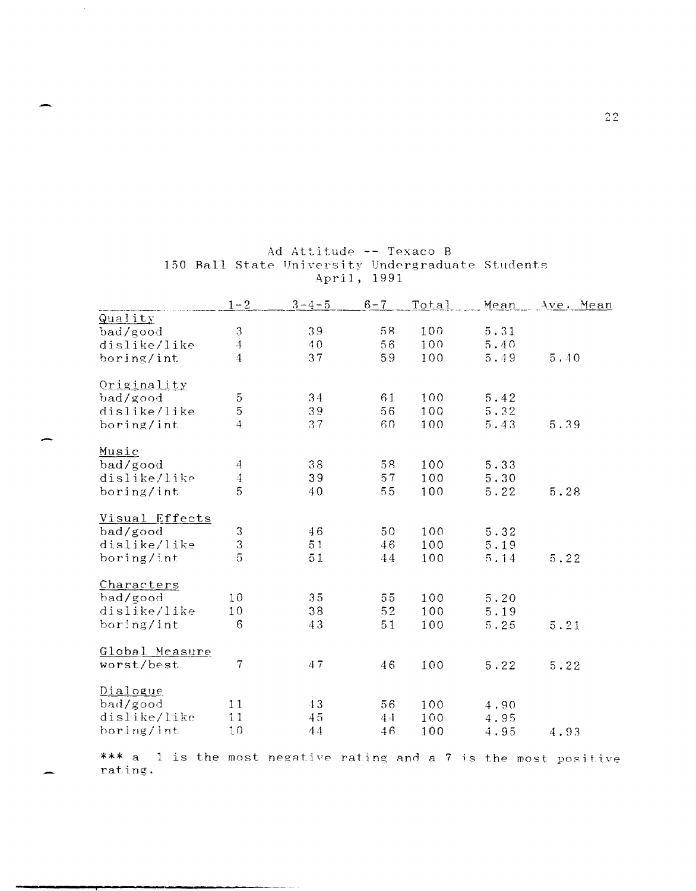|                | $1 - 2$          | $3 - 4 - 5$ | $6 - 7$ | Total | Mean       | Ave. Mean |
|----------------|------------------|-------------|---------|-------|------------|-----------|
| Quality        |                  |             |         |       |            |           |
| bad/good       | 3                | 39          | 58      | 100   | $5\,.\,31$ |           |
| dislike/like   | $\overline{4}$   | 40          | 56      | 100   | 5.40       |           |
| boring/int     | $\overline{4}$   | 37          | 59      | 100   | 5.49       | 5.40      |
| Originality    |                  |             |         |       |            |           |
| bad/good       | 5                | 34          | 61      | 100   | 5.42       |           |
| dislike/like   | $\overline{5}$   | 39          | 56      | 100   | 5.32       |           |
| boring/int     | $\ddot{4}$       | 37          | 60      | 100   | 5.43       | 5.39      |
| Music          |                  |             |         |       |            |           |
| bad/good       | 4                | 38          | 58      | 100   | 5.33       |           |
| dislike/like   | $\overline{4}$   | 39          | 57      | 100   | 5.30       |           |
| boring/int     | 5                | 40          | 55      | 100   | 5.22       | 5.28      |
| Visual Effects |                  |             |         |       |            |           |
| bad/good       | 3                | 46          | 50      | 100   | 5.32       |           |
| dislike/like   | 3                | 51          | 46      | 100   | 5.19       |           |
| boring/int     | 5                | 51          | 44      | 100   | 5.14       | 5.22      |
| Characters     |                  |             |         |       |            |           |
| bad/good       | 10               | 35          | 55      | 100   | 5.20       |           |
| dislike/like   | 10               | 38          | 52      | 100   | 5.19       |           |
| boring/int     | $\boldsymbol{6}$ | 43          | 51      | 100   | 5.25       | 5.21      |
| Global Measure |                  |             |         |       |            |           |
| worst/best     | 7                | 47          | 46      | 100   | 5.22       | 5.22      |
| Dialogue       |                  |             |         |       |            |           |
| bad/good       | 11               | 43          | 56      | 100   | 4.90       |           |
| dislike/like   | 11               | 45          | 44      | 100   | 4.95       |           |
| horing/int     | 10               | 44          | 46      | 100   | 4.95       | 4.93      |

# Ad Attitude -- Texaco B 150 Ball State University Undergraduate Students<br>April, 1991

\*\*\* a 1 is the most negative rating and a 7 is the most positive rating.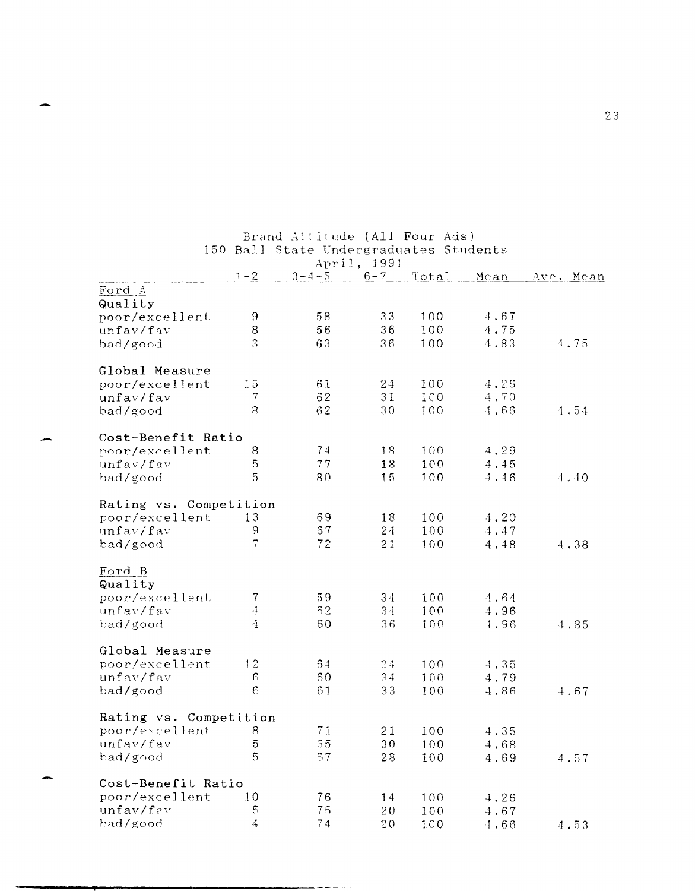| 150 Ball State Undergraduates Students<br>April, 1991 |                  |             |              |            |      |           |  |  |  |  |
|-------------------------------------------------------|------------------|-------------|--------------|------------|------|-----------|--|--|--|--|
|                                                       | $1 - 2$          | $3 - 4 - 5$ | $6 - 7$      | Total      | Mean | Ave. Mean |  |  |  |  |
| Ford A                                                |                  |             |              |            |      |           |  |  |  |  |
| Quality<br>poor/excellent                             | 9                | 58          | 33           | 100        | 4.67 |           |  |  |  |  |
| unfav/fav                                             | 8                | 56          | 36           | 100        | 4.75 |           |  |  |  |  |
| bad/good                                              | 3                | 63          | 36           | 100        | 4.83 | 4.75      |  |  |  |  |
|                                                       |                  |             |              |            |      |           |  |  |  |  |
| Global Measure                                        |                  |             |              |            |      |           |  |  |  |  |
| poor/excellent                                        | 15               | 61          | 24           | 100        | 4.26 |           |  |  |  |  |
| unfav/fav                                             | 7                | 62          | 31           | 100        | 4.70 |           |  |  |  |  |
| bad/good                                              | $\mathbf{8}$     | 62          | 30           | 100        | 4.66 | 4.54      |  |  |  |  |
|                                                       |                  |             |              |            |      |           |  |  |  |  |
| Cost-Benefit Ratio                                    |                  |             |              |            |      |           |  |  |  |  |
| poor/excellent                                        | 8                | 74          | 18           | 100        | 4,29 |           |  |  |  |  |
| unfav/fav                                             | 5                | 77          | 18           | 100        | 4.45 |           |  |  |  |  |
| bad/good                                              | 5                | 80          | 15           | 100        | 4.46 | 4.40      |  |  |  |  |
|                                                       |                  |             |              |            |      |           |  |  |  |  |
| Rating vs. Competition                                |                  |             |              |            |      |           |  |  |  |  |
| poor/excellent                                        | 13               | 69          | 18           | 100        | 4.20 |           |  |  |  |  |
| unfav/fav                                             | ģ                | 67<br>72    | 24           | 100<br>100 | 4.47 |           |  |  |  |  |
| bad/good                                              |                  |             | 21           |            | 4.48 | 4.38      |  |  |  |  |
| Ford B                                                |                  |             |              |            |      |           |  |  |  |  |
| Quality                                               |                  |             |              |            |      |           |  |  |  |  |
| poor/excellent                                        | 7                | 59          | 34           | 100        | 4.64 |           |  |  |  |  |
| unfav/fav                                             | $\ddot{4}$       | 62          | 34           | 100        | 4.96 |           |  |  |  |  |
| bad/good                                              | $\overline{4}$   | 60          | 36           | 100        | 1.96 | 4,85      |  |  |  |  |
|                                                       |                  |             |              |            |      |           |  |  |  |  |
| Global Measure                                        |                  |             |              |            |      |           |  |  |  |  |
| poor/excellent                                        | 12               | 64          | 24           | 100        | 4.35 |           |  |  |  |  |
| unfav/fav                                             | 6                | 60          | 34           | 100        | 4.79 |           |  |  |  |  |
| bad/good                                              | $\epsilon$       | 61          | 33           | 100        | 4.86 | 4.67      |  |  |  |  |
|                                                       |                  |             |              |            |      |           |  |  |  |  |
| Rating vs. Competition                                |                  | 71          |              |            |      |           |  |  |  |  |
| poor/excellent<br>unfav/fav                           | 8<br>$\mathbf 5$ | 65          | 21           | 100        | 4.35 |           |  |  |  |  |
| bad/good                                              | 5                | 67          | $3\,0$<br>28 | 100<br>100 | 4.68 | 4.57      |  |  |  |  |
|                                                       |                  |             |              |            | 4.69 |           |  |  |  |  |
| Cost-Benefit Ratio                                    |                  |             |              |            |      |           |  |  |  |  |
| poor/excellent                                        | 10               | 76          | 14           | 100        | 4.26 |           |  |  |  |  |
| unfav/fav                                             | 5                | 75          | 20           | 100        | 4.67 |           |  |  |  |  |
| bad/good                                              | $\overline{4}$   | 74          | 20           | 100        | 4.66 | 4.53      |  |  |  |  |
|                                                       |                  |             |              |            |      |           |  |  |  |  |

Brand Attitude (All Four Ads)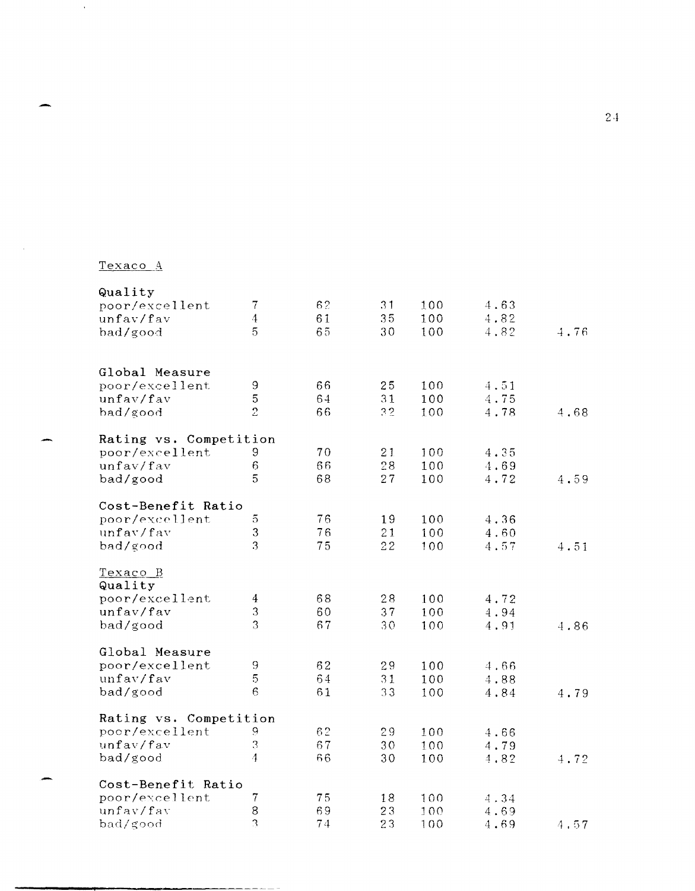# Texaco A

 $\sim 20$ 

 $\sim$ 

| 4.63<br>4.82<br>4.82<br>4.51<br>4.75 | 4.76                                                 |
|--------------------------------------|------------------------------------------------------|
|                                      |                                                      |
|                                      |                                                      |
|                                      |                                                      |
|                                      |                                                      |
|                                      |                                                      |
|                                      |                                                      |
|                                      |                                                      |
| 4.78                                 | 4.68                                                 |
|                                      |                                                      |
| 100<br>4.35                          |                                                      |
| 4.69                                 |                                                      |
| 4.72                                 | 4.59                                                 |
|                                      |                                                      |
|                                      |                                                      |
| 4,36                                 |                                                      |
| 4.60                                 |                                                      |
| 4,57                                 | 4.51                                                 |
|                                      |                                                      |
|                                      |                                                      |
| 4.72                                 |                                                      |
| 4.94                                 |                                                      |
| 4.91                                 | 4.86                                                 |
|                                      |                                                      |
|                                      |                                                      |
|                                      |                                                      |
|                                      | 4.79                                                 |
|                                      |                                                      |
|                                      |                                                      |
|                                      |                                                      |
|                                      |                                                      |
|                                      | 4.72                                                 |
|                                      |                                                      |
| 4.34                                 |                                                      |
| 4.69                                 |                                                      |
|                                      | 4,57                                                 |
|                                      | 4,66<br>4.88<br>4.84<br>4.66<br>4.79<br>4,82<br>4.69 |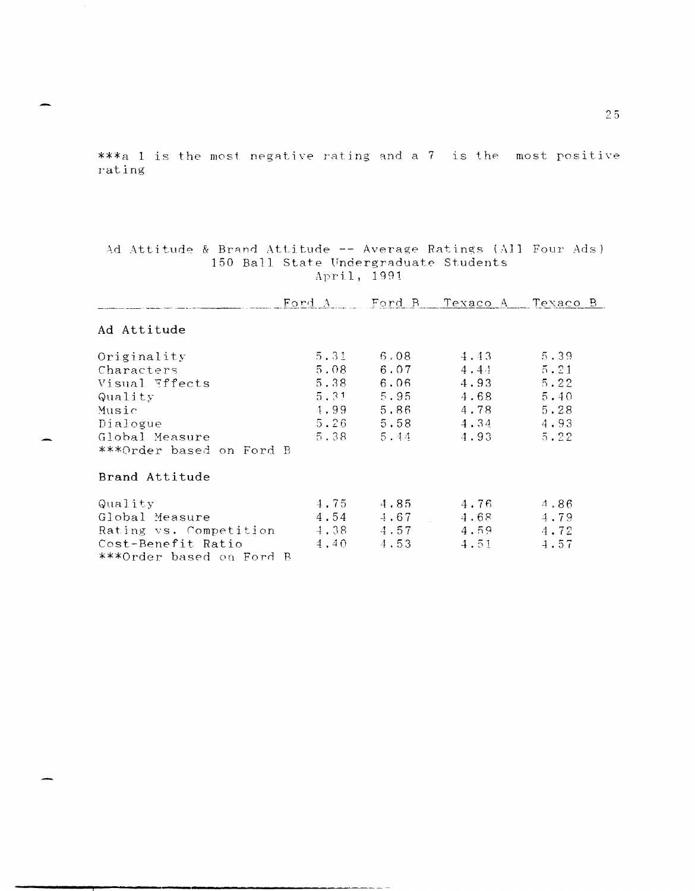\*\*\*a 1 is the most negative rating and a 7 is the most positive rating

| Ad Attitude & Brand Attitude -- Average Ratings (All Four Ads) |  |  |                                       |  |  |
|----------------------------------------------------------------|--|--|---------------------------------------|--|--|
|                                                                |  |  | 150 Ball State Undergraduate Students |  |  |
|                                                                |  |  | April, 1991                           |  |  |

|                          |                    |      | Ford A Ford B Texaco A | Texaco B |
|--------------------------|--------------------|------|------------------------|----------|
| Ad Attitude              |                    |      |                        |          |
| Originality              | $5 \cdot 31$       | 6.08 | 4.43                   | 5.39     |
| Characters               | 5.08               | 6.07 | $4 \cdot 44$           | 5.21     |
| Visual Effects           | 5.38               | 6.06 | 4.93                   | 5.22     |
| Quality                  | $5.31 - 7$         | 5.95 | 4.68                   | 5.40     |
| Music                    | 4.99               | 5.86 | 4,78                   | 5.28     |
| Dialogue                 | 5.26               | 5.58 | 4.34                   | 4.93     |
| Global Measure           | 5.38               | 5.44 | 4.93                   | 5.22     |
| ***Order based on Ford B |                    |      |                        |          |
| Brand Attitude           |                    |      |                        |          |
| Quality                  | 4,75               | 4.85 | 4.76                   | 4.86     |
| Global Measure           | 4.54               | 4.67 | 4.68                   | 4.79     |
| Rating vs. Competition   | $\frac{1}{2}$ . 38 | 4.57 | 4.59                   | 4.72     |
| Cost-Benefit Ratio       | 4,40               | 4.53 | 4.51                   | $-1.57$  |
| ***Order based on Ford B |                    |      |                        |          |

25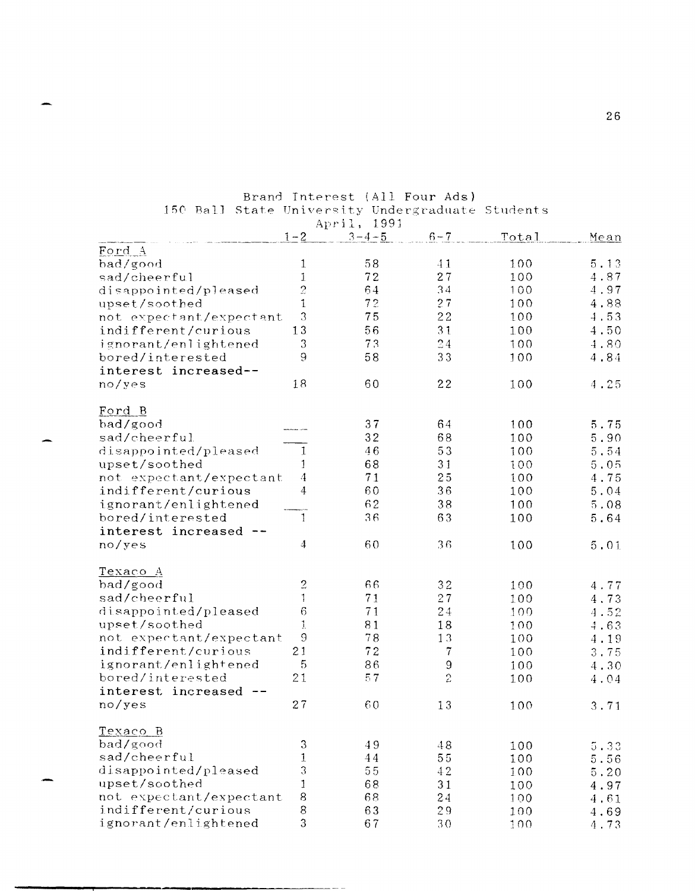|                         |                                                                                                         | and the state of<br>April, 1991 |             |              |      |
|-------------------------|---------------------------------------------------------------------------------------------------------|---------------------------------|-------------|--------------|------|
|                         | $1 - 2$                                                                                                 | $3 - 4 - 5$                     | $6 - 7$     | <u>Total</u> | Mean |
| Ford A                  |                                                                                                         |                                 |             |              |      |
| bad/good                | 1                                                                                                       | 58                              | 41          | 100          | 5.13 |
| sad/cheerful            | 1                                                                                                       | 72                              | 27          | 100          | 4.87 |
| disappointed/pleased    | $\overline{c}$                                                                                          | 64                              | 34          | 100          | 4.97 |
| upset/soothed           | $\mathbf{1}$                                                                                            | 72                              | 27          | 100          | 4.88 |
| not expectant/expectant | 3                                                                                                       | 75                              | 22          | 100          | 4.53 |
| indifferent/curious     | 13                                                                                                      | 56                              | 31          | 100          | 4.50 |
| ignorant/enlightened    | 3                                                                                                       | 73                              | 24          | 100          | 4.80 |
| bored/interested        | 9                                                                                                       | 58                              | 33          | 100          | 4.84 |
| interest increased--    |                                                                                                         |                                 |             |              |      |
| no/yes                  | 18                                                                                                      | 60                              | 22          | 100          | 4.25 |
|                         |                                                                                                         |                                 |             |              |      |
| Ford B<br>bad/good      |                                                                                                         | 37                              | 64          |              |      |
| sad/cheerful            |                                                                                                         | 32                              | 68          | 100          | 5.75 |
|                         |                                                                                                         |                                 |             | 100          | 5.90 |
| disappointed/pleased    | 1                                                                                                       | 46                              | 53          | 100          | 5.54 |
| upset/soothed           | 1                                                                                                       | 68                              | 31          | 100          | 5.05 |
| not expectant/expectant | 4                                                                                                       | 71                              | 25          | 100          | 4.75 |
| indifferent/curious     | 4                                                                                                       | 60                              | 36          | 100          | 5.04 |
| ignorant/enlightened    |                                                                                                         | 62                              | 38          | 100          | 5.08 |
| bored/interested        | 1                                                                                                       | 36                              | 63          | 100          | 5.64 |
| interest increased      |                                                                                                         |                                 |             |              |      |
| no/yes                  | 4                                                                                                       | 60                              | 36          | 100          | 5.01 |
| <u>Texaco A</u>         |                                                                                                         |                                 |             |              |      |
| bad/good                | $\overline{c}$                                                                                          | 66                              | 32          | 100          | 4.77 |
| sad/cheerful            | 1                                                                                                       | 71                              | 27          | 100          | 4.73 |
| disappointed/pleased    | 6                                                                                                       | 71                              | 24          | 100          | 4.52 |
| upset/soothed           | $\mathbf{I}$                                                                                            | 81                              | 18          | 100          | 4.63 |
| not expectant/expectant | $\mathfrak{S}% _{T}=\mathfrak{S}_{T}\!\left( a,b\right) ,\ \mathfrak{S}_{T}=C_{T}\!\left( a,b\right) ,$ | 78                              | 13          | 100          | 4.19 |
| indifferent/curious     | 21                                                                                                      | 72                              | 7           | 100          | 3,75 |
| ignorant/enlightened    | 5                                                                                                       | 86                              | 9           |              |      |
| bored/interested        | 21                                                                                                      | 57                              | $\tilde{z}$ | 100          | 4.30 |
|                         |                                                                                                         |                                 |             | 100          | 4.04 |
| interest increased      |                                                                                                         |                                 |             |              |      |
| no/yes                  | 27                                                                                                      | 60                              | 13          | 100          | 3.71 |
| Texaco B                |                                                                                                         |                                 |             |              |      |
| bad/good                | 3                                                                                                       | 49                              | 48          | 100          | 5.33 |
| sad/cheerful            | $\mathbf{1}$                                                                                            | 44                              | 55          | 100          | 5.56 |
| disappointed/pleased    | 3                                                                                                       | 55                              | 42          | 100          | 5.20 |
| upset/soothed           | $\mathbf{1}$                                                                                            | 68                              | 31          | 100          | 4.97 |
| not expectant/expectant | 8                                                                                                       | 68                              | 24          | 100          | 4,61 |
| indifferent/curious     | 8                                                                                                       | 63                              | 29          | 100          | 4.69 |
| ignorant/enlightened    | 3                                                                                                       | 67                              | 30          | 100          | 4.73 |

Brand Interest (All Four Ads) 150 Ball State University Undergraduate Students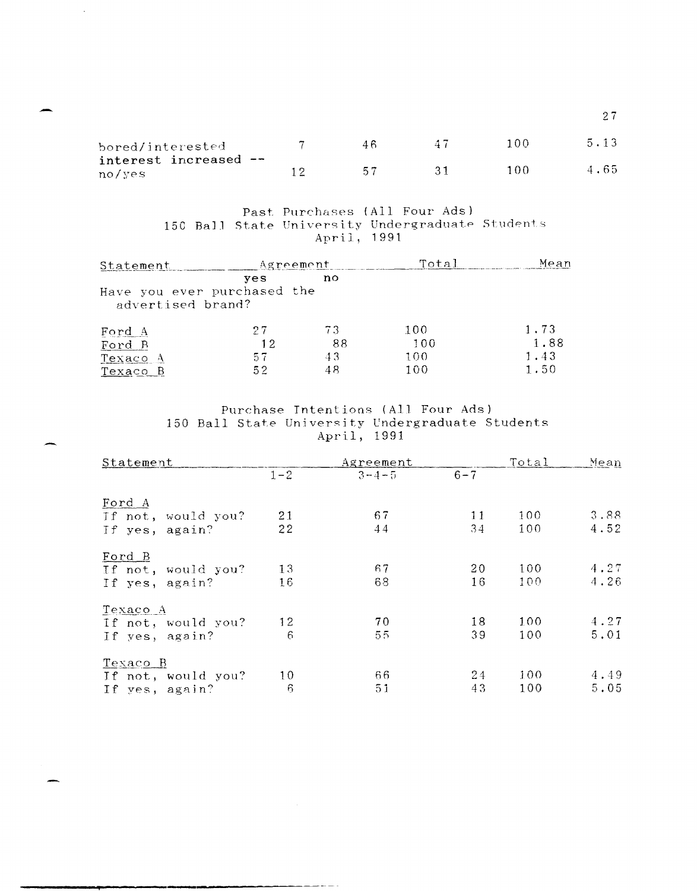| bored/interested      | 46 | -47 | 100 | 5.13 |
|-----------------------|----|-----|-----|------|
| interest increased -- |    |     |     |      |
| no/yes                | 57 |     | 100 | 4.65 |

# Past Purchases (All Four Ads) 150 Ball State University Undergraduate Students<br>April, 1991

| Statement                                        | Agreement |     | Total | Меап |
|--------------------------------------------------|-----------|-----|-------|------|
| Have you ever purchased the<br>advertised brand? | ves       | no  |       |      |
| Ford A                                           | 27        | 73. | 100   | 1.73 |
| Ford B                                           | 12        | 88  | 100   | 1.88 |
| Texaco A                                         | -57       | 43  | 100   | 1.43 |
| Texaco B                                         | 52        | 4 S | 100   | 1.50 |

Purchase Intentions (All Four Ads) 150 Ball State University Undergraduate Students<br>April, 1991

| Statement          |         | Agreement   |         | Total | Mean |
|--------------------|---------|-------------|---------|-------|------|
|                    | $1 - 2$ | $3 - 4 - 5$ | $6 - 7$ |       |      |
| Ford A             |         |             |         |       |      |
| If not, would you? | 21      | 67          | 11      | 100   | 3.88 |
| If yes, again?     | 22      | 44          | 34      | 100   | 4.52 |
| Ford B             |         |             |         |       |      |
| If not, would you? | 13      | 67          | 20      | 100   | 4.27 |
| If yes, again?     | 16      | 68          | 16      | 100   | 4.26 |
| Texaco A           |         |             |         |       |      |
| If not, would you? | 12      | 70          | 18      | 100   | 4.27 |
| If yes, again?     | 6       | 55          | 39      | 100   | 5.01 |
| <u>Texaco B</u>    |         |             |         |       |      |
| If not, would you? | 10      | 66          | 24      | 100   | 4.49 |
| If yes, again?     | 6       | 51          | 43      | 100   | 5.05 |

 $2\,7$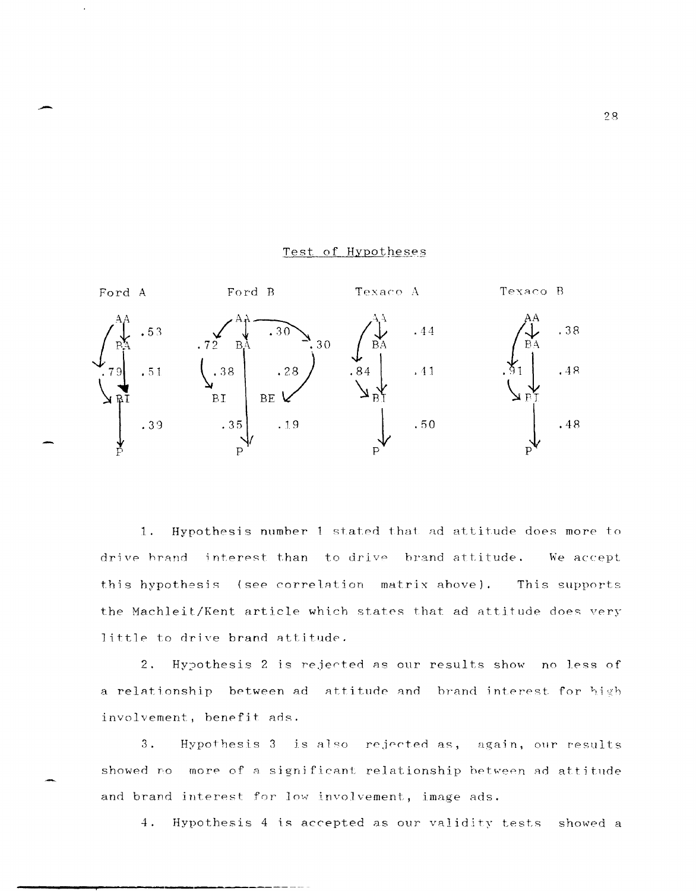#### Texaco B Ford A Ford B Texaco A .38 .44  $.72-B<sub>A</sub>$ 30  $\begin{array}{c} \begin{array}{c} \end{array} \\ \begin{array}{c} \end{array} \end{array}$  $.28$  $.51$  $.41$  $.48$ **BI BE** .35  $.19$  $.50$  $.48$ .39

1. Hypothesis number 1 stated that ad attitude does more to drive brand interest than to drive brand attitude. We accept this hypothesis (see correlation matrix above). This supports the Machleit/Kent article which states that ad attitude does very little to drive brand attitude.

2. Hypothesis 2 is rejected as our results show no less of a relationship between ad attitude and brand interest for high involvement, benefit ads.

 $3.$ Hypothesis 3 is also rejected as, again, our results showed no more of a significant relationship between ad attitude and brand interest for low involvement, image ads.

4. Hypothesis 4 is accepted as our validity tests showed a

# Test of Hypotheses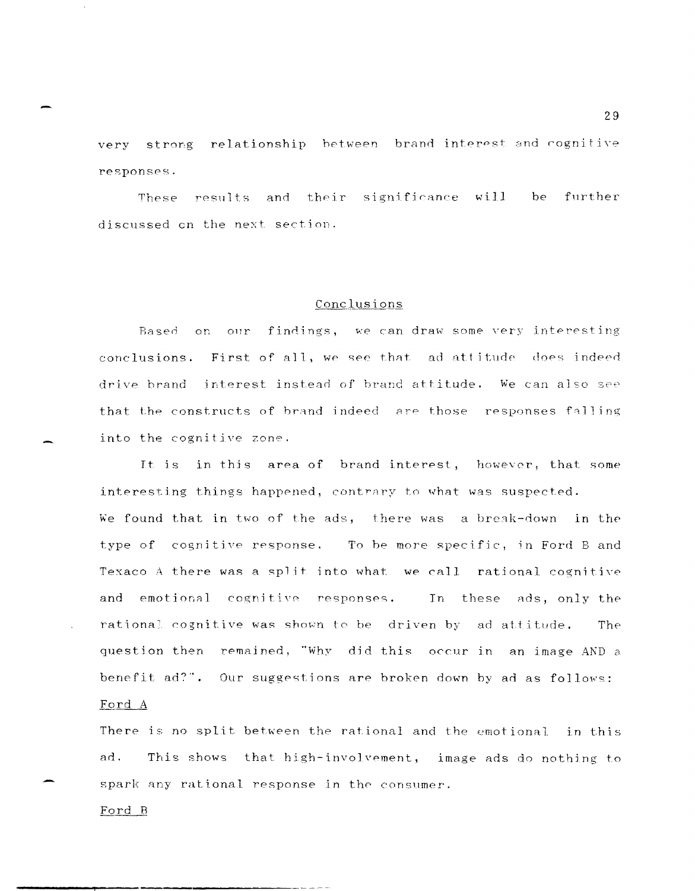very strong relationship between brand interest and cognitive responses.

These results and their significance will be further discussed on the next section.

# Conclusions

Based on our findings, we can draw some very interesting conclusions. First of all, we see that ad attitude does indeed drive brand interest instead of brand attitude. We can also see that the constructs of brand indeed are those responses falling into the cognitive zone.

It is in this area of brand interest, however, that some interesting things happened, contrary to what was suspected. We found that in two of the ads, there was a break-down in the type of cognitive response. To be more specific, in Ford B and Texaco A there was a split into what we call rational cognitive and emotional cognitive responses. In these ads, only the rational cognitive was shown to be driven by ad attitude. The question then remained, "Why did this occur in an image AND a benefit ad?". Our suggestions are broken down by ad as follows: Ford A

There is no split between the rational and the emotional in this ad. This shows that high-involvement, image ads do nothing to spark any rational response in the consumer.

Ford B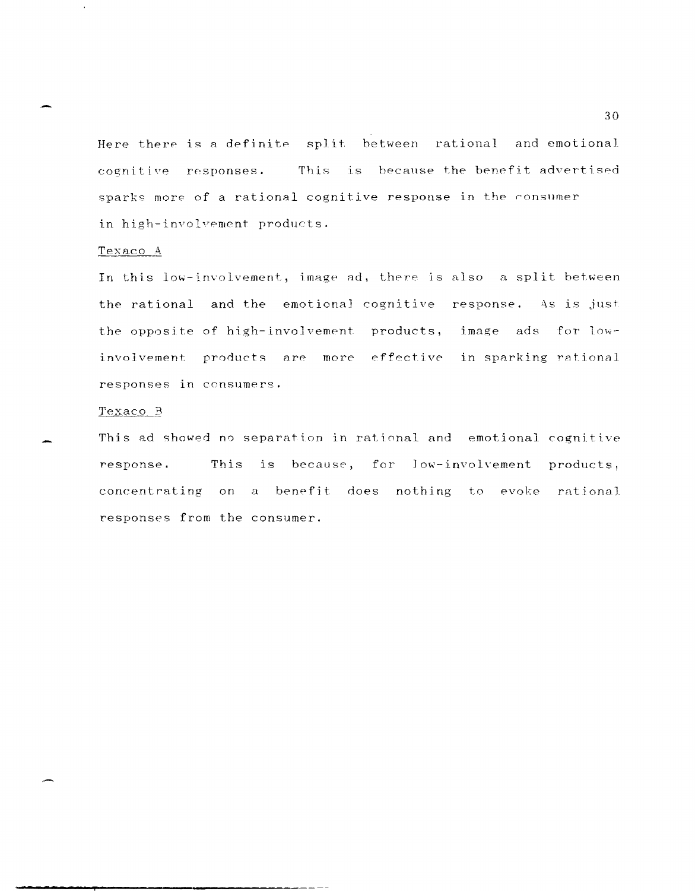Here there is a definite split between rational and emotional This is because the benefit advertised cognitive responses. sparks more of a rational cognitive response in the consumer in high-involvement products.

### Texaco A

In this low-involvement, image ad, there is also a split between the rational and the emotional cognitive response. As is just the opposite of high-involvement products, image ads for lowinvolvement products are more effective in sparking rational responses in consumers.

# Texaco B

This ad showed no separation in rational and emotional cognitive response. This is because, for low-involvement products, concentrating on a benefit does nothing to evoke rational responses from the consumer.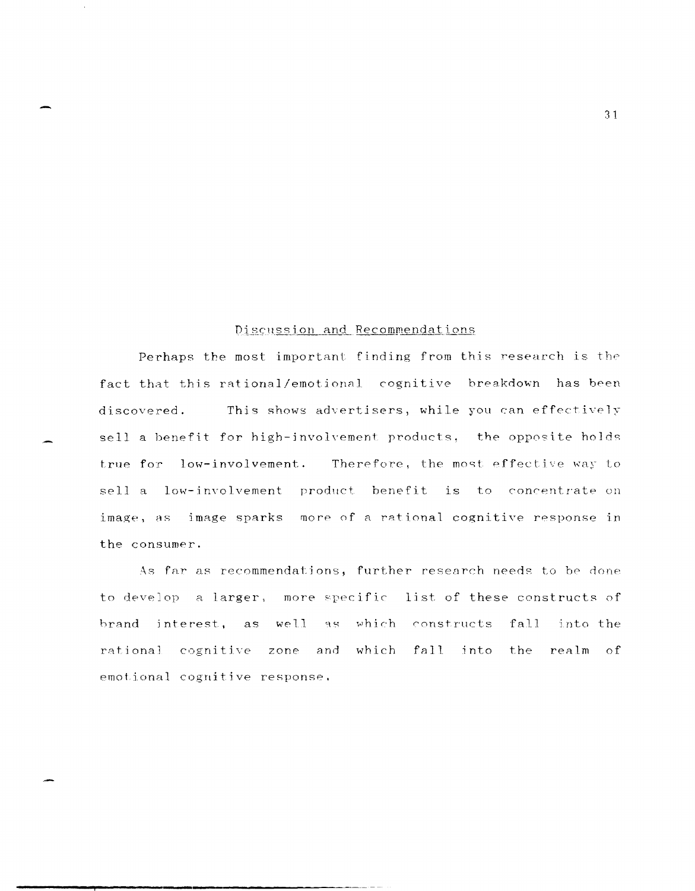# Discussion and Recommendations

Perhaps the most important finding from this research is the fact that this rational/emotional cognitive breakdown has been This shows advertisers, while you can effectively discovered. sell a benefit for high-involvement products, the opposite holds Therefore, the most effective way to true for low-involvement. sell a low-involvement product benefit is to concentrate on image, as image sparks more of a rational cognitive response in the consumer.

As far as recommendations, further research needs to be done to develop a larger, more specific list of these constructs of brand interest, as well as which constructs fall into the rational cognitive zone and which fall into the realm of emotional cognitive response.

 $31$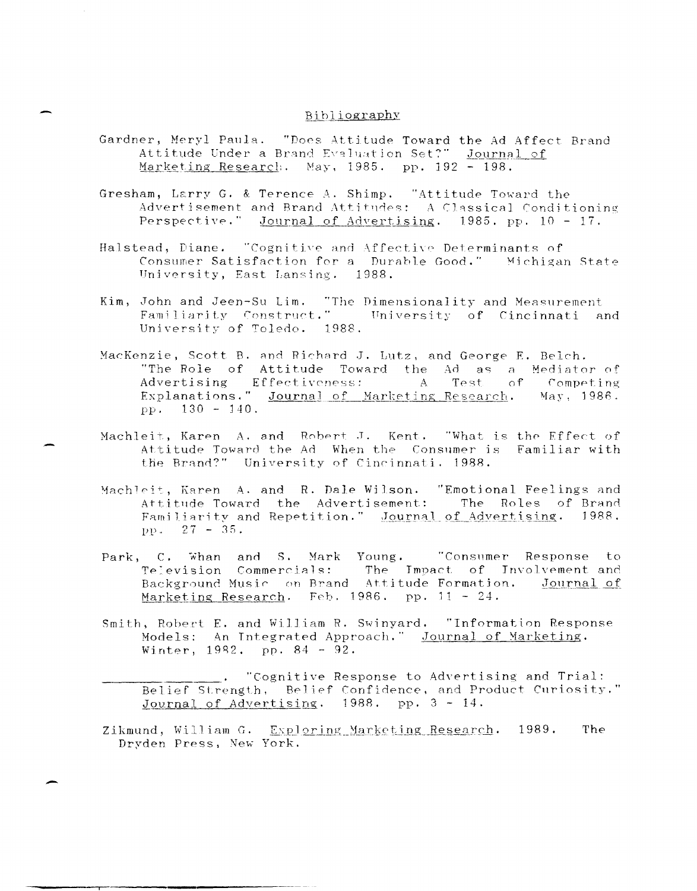# Bibliography

- Gardner, Meryl Paula. "Does Attitude Toward the Ad Affect Brand Attitude Under a Brand Evaluation Set?" Journal of Marketing Research. May, 1985. pp. 192 - 198.
- Gresham, Larry G. & Terence A. Shimp. "Attitude Toward the Advertisement and Brand Attitudes: A Classical Conditioning Perspective." Journal of Advertising. 1985. pp. 10 - 17.
- Halstead, Diane. "Cognitive and Affective Determinants of Consumer Satisfaction for a Durable Good." Michigan State University, East Lansing. 1988.
- Kim, John and Jeen-Su Lim. "The Dimensionality and Measurement Familiarity Construct." University of Cincinnati and University of Toledo. 1988.
- MacKenzie, Scott B. and Richard J. Lutz, and George E. Belch. "The Role of Attitude Toward the Ad as a Mediator of<br>Advertising Effectiveness: A Test of Competing Competing Explanations." Journal of Marketing Research. May, 1986. pp.  $130 - 140$ .
- Machleit, Karen A. and Robert J. Kent. "What is the Effect of Attitude Toward the Ad When the Consumer is Familiar with the Brand?" University of Cincinnati, 1988.
- Machleit, Karen A. and R. Dale Wilson. "Emotional Feelings and Attitude Toward the Advertisement: The Roles of Brand Familiarity and Repetition." Journal of Advertising. 1988. pp.  $27 - 35$ .
- Park, C. Whan and S. Mark Young. "Consumer Response to Television Commercials: The Impact of Involvement and Background Music on Brand Attitude Formation. Journal of Marketing Research. Feb. 1986. pp. 11 - 24.
- Smith, Robert E. and William R. Swinyard. "Information Response Models: An Integrated Approach." Journal of Marketing. Winter, 1982. pp. 84 - 92.
	- . "Cognitive Response to Advertising and Trial: Belief Strength, Belief Confidence, and Product Curiosity." Journal of Advertising. 1988. pp. 3 - 14.
- Zikmund, William G. Exploring Marketing Research. 1989. The Dryden Press, New York.